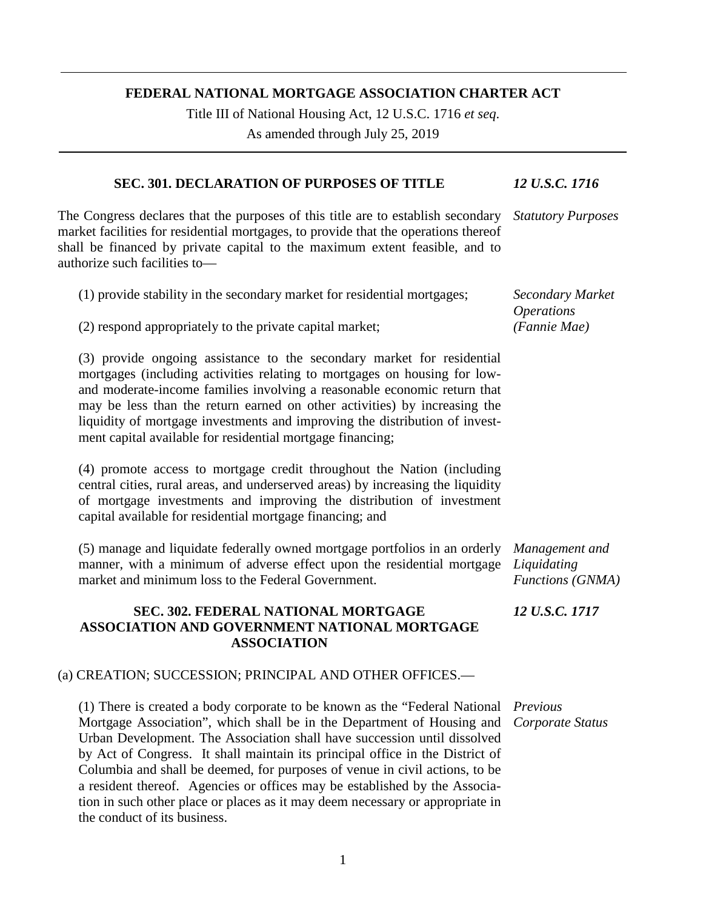### **FEDERAL NATIONAL MORTGAGE ASSOCIATION CHARTER ACT**

Title III of National Housing Act, 12 U.S.C. 1716 *et seq*.

As amended through July 25, 2019

#### **SEC. 301. DECLARATION OF PURPOSES OF TITLE** *12 U.S.C. 1716*

The Congress declares that the purposes of this title are to establish secondary market facilities for residential mortgages, to provide that the operations thereof shall be financed by private capital to the maximum extent feasible, and to authorize such facilities to— *Statutory Purposes*

| (1) provide stability in the secondary market for residential mortgages; | Secondary Market  |
|--------------------------------------------------------------------------|-------------------|
|                                                                          | <i>Operations</i> |
| (2) respond appropriately to the private capital market;                 | (Fannie Mae)      |

(3) provide ongoing assistance to the secondary market for residential mortgages (including activities relating to mortgages on housing for lowand moderate-income families involving a reasonable economic return that may be less than the return earned on other activities) by increasing the liquidity of mortgage investments and improving the distribution of investment capital available for residential mortgage financing;

(4) promote access to mortgage credit throughout the Nation (including central cities, rural areas, and underserved areas) by increasing the liquidity of mortgage investments and improving the distribution of investment capital available for residential mortgage financing; and

(5) manage and liquidate federally owned mortgage portfolios in an orderly manner, with a minimum of adverse effect upon the residential mortgage market and minimum loss to the Federal Government. *Liquidating* 

## **SEC. 302. FEDERAL NATIONAL MORTGAGE ASSOCIATION AND GOVERNMENT NATIONAL MORTGAGE ASSOCIATION**

### (a) CREATION; SUCCESSION; PRINCIPAL AND OTHER OFFICES.—

(1) There is created a body corporate to be known as the "Federal National *Previous*  Mortgage Association", which shall be in the Department of Housing and Urban Development. The Association shall have succession until dissolved by Act of Congress. It shall maintain its principal office in the District of Columbia and shall be deemed, for purposes of venue in civil actions, to be a resident thereof. Agencies or offices may be established by the Association in such other place or places as it may deem necessary or appropriate in the conduct of its business.

*Management and Functions (GNMA)*

*12 U.S.C. 1717*

*Corporate Status*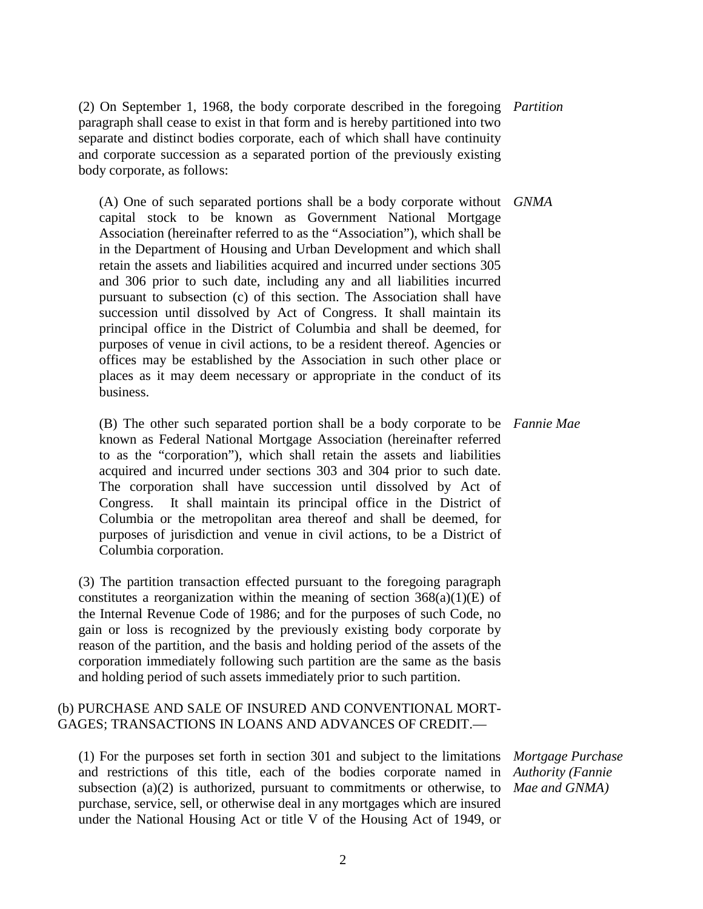(2) On September 1, 1968, the body corporate described in the foregoing *Partition* paragraph shall cease to exist in that form and is hereby partitioned into two separate and distinct bodies corporate, each of which shall have continuity and corporate succession as a separated portion of the previously existing body corporate, as follows:

(A) One of such separated portions shall be a body corporate without *GNMA* capital stock to be known as Government National Mortgage Association (hereinafter referred to as the "Association"), which shall be in the Department of Housing and Urban Development and which shall retain the assets and liabilities acquired and incurred under sections 305 and 306 prior to such date, including any and all liabilities incurred pursuant to subsection (c) of this section. The Association shall have succession until dissolved by Act of Congress. It shall maintain its principal office in the District of Columbia and shall be deemed, for purposes of venue in civil actions, to be a resident thereof. Agencies or offices may be established by the Association in such other place or places as it may deem necessary or appropriate in the conduct of its business.

(B) The other such separated portion shall be a body corporate to be *Fannie Mae* known as Federal National Mortgage Association (hereinafter referred to as the "corporation"), which shall retain the assets and liabilities acquired and incurred under sections 303 and 304 prior to such date. The corporation shall have succession until dissolved by Act of Congress. It shall maintain its principal office in the District of Columbia or the metropolitan area thereof and shall be deemed, for purposes of jurisdiction and venue in civil actions, to be a District of Columbia corporation.

(3) The partition transaction effected pursuant to the foregoing paragraph constitutes a reorganization within the meaning of section  $368(a)(1)(E)$  of the Internal Revenue Code of 1986; and for the purposes of such Code, no gain or loss is recognized by the previously existing body corporate by reason of the partition, and the basis and holding period of the assets of the corporation immediately following such partition are the same as the basis and holding period of such assets immediately prior to such partition.

### (b) PURCHASE AND SALE OF INSURED AND CONVENTIONAL MORT-GAGES; TRANSACTIONS IN LOANS AND ADVANCES OF CREDIT.—

(1) For the purposes set forth in section 301 and subject to the limitations *Mortgage Purchase*  and restrictions of this title, each of the bodies corporate named in *Authority (Fannie*  subsection (a)(2) is authorized, pursuant to commitments or otherwise, to *Mae and GNMA*) purchase, service, sell, or otherwise deal in any mortgages which are insured under the National Housing Act or title V of the Housing Act of 1949, or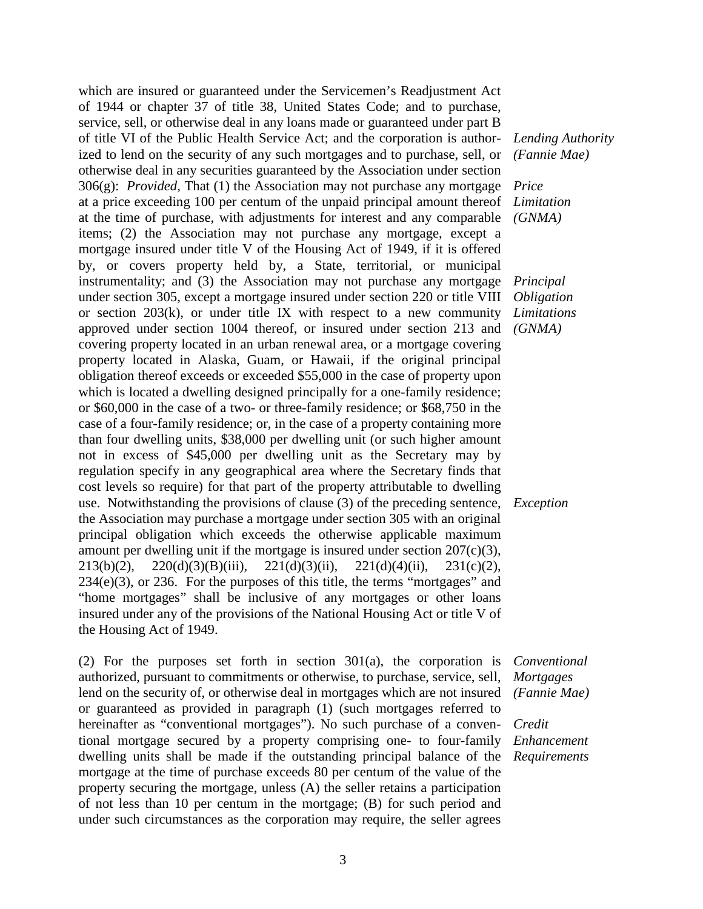which are insured or guaranteed under the Servicemen's Readjustment Act of 1944 or chapter 37 of title 38, United States Code; and to purchase, service, sell, or otherwise deal in any loans made or guaranteed under part B of title VI of the Public Health Service Act; and the corporation is authorized to lend on the security of any such mortgages and to purchase, sell, or otherwise deal in any securities guaranteed by the Association under section 306(g): *Provided*, That (1) the Association may not purchase any mortgage *Price*  at a price exceeding 100 per centum of the unpaid principal amount thereof at the time of purchase, with adjustments for interest and any comparable items; (2) the Association may not purchase any mortgage, except a mortgage insured under title V of the Housing Act of 1949, if it is offered by, or covers property held by, a State, territorial, or municipal instrumentality; and (3) the Association may not purchase any mortgage under section 305, except a mortgage insured under section 220 or title VIII or section  $203(k)$ , or under title IX with respect to a new community approved under section 1004 thereof, or insured under section 213 and covering property located in an urban renewal area, or a mortgage covering property located in Alaska, Guam, or Hawaii, if the original principal obligation thereof exceeds or exceeded \$55,000 in the case of property upon which is located a dwelling designed principally for a one-family residence; or \$60,000 in the case of a two- or three-family residence; or \$68,750 in the case of a four-family residence; or, in the case of a property containing more than four dwelling units, \$38,000 per dwelling unit (or such higher amount not in excess of \$45,000 per dwelling unit as the Secretary may by regulation specify in any geographical area where the Secretary finds that cost levels so require) for that part of the property attributable to dwelling use. Notwithstanding the provisions of clause (3) of the preceding sentence, *Exception* the Association may purchase a mortgage under section 305 with an original principal obligation which exceeds the otherwise applicable maximum amount per dwelling unit if the mortgage is insured under section  $207(c)(3)$ , 213(b)(2), 220(d)(3)(B)(iii), 221(d)(3)(ii), 221(d)(4)(ii), 231(c)(2),  $234(e)(3)$ , or 236. For the purposes of this title, the terms "mortgages" and "home mortgages" shall be inclusive of any mortgages or other loans insured under any of the provisions of the National Housing Act or title V of the Housing Act of 1949.

(2) For the purposes set forth in section 301(a), the corporation is authorized, pursuant to commitments or otherwise, to purchase, service, sell, lend on the security of, or otherwise deal in mortgages which are not insured or guaranteed as provided in paragraph (1) (such mortgages referred to hereinafter as "conventional mortgages"). No such purchase of a conventional mortgage secured by a property comprising one- to four-family dwelling units shall be made if the outstanding principal balance of the mortgage at the time of purchase exceeds 80 per centum of the value of the property securing the mortgage, unless (A) the seller retains a participation of not less than 10 per centum in the mortgage; (B) for such period and under such circumstances as the corporation may require, the seller agrees

*Lending Authority (Fannie Mae)*

*Limitation (GNMA)*

*Principal Obligation Limitations (GNMA)*

*Conventional Mortgages (Fannie Mae)*

*Credit Enhancement Requirements*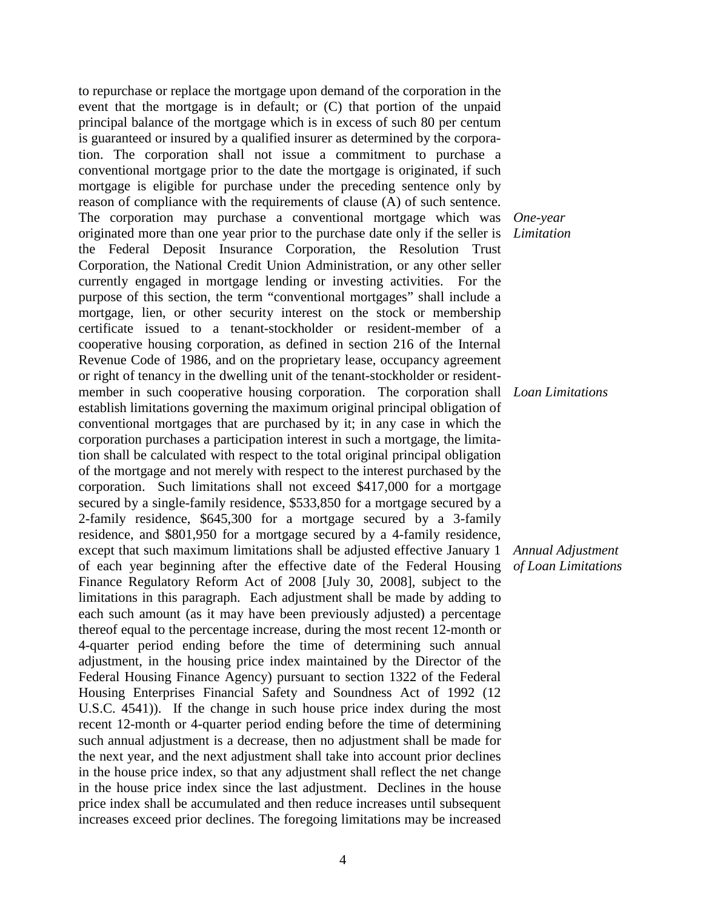to repurchase or replace the mortgage upon demand of the corporation in the event that the mortgage is in default; or (C) that portion of the unpaid principal balance of the mortgage which is in excess of such 80 per centum is guaranteed or insured by a qualified insurer as determined by the corporation. The corporation shall not issue a commitment to purchase a conventional mortgage prior to the date the mortgage is originated, if such mortgage is eligible for purchase under the preceding sentence only by reason of compliance with the requirements of clause (A) of such sentence. The corporation may purchase a conventional mortgage which was *One-year*  originated more than one year prior to the purchase date only if the seller is *Limitation* the Federal Deposit Insurance Corporation, the Resolution Trust Corporation, the National Credit Union Administration, or any other seller currently engaged in mortgage lending or investing activities. For the purpose of this section, the term "conventional mortgages" shall include a mortgage, lien, or other security interest on the stock or membership certificate issued to a tenant-stockholder or resident-member of a cooperative housing corporation, as defined in section 216 of the Internal Revenue Code of 1986, and on the proprietary lease, occupancy agreement or right of tenancy in the dwelling unit of the tenant-stockholder or residentmember in such cooperative housing corporation. The corporation shall *Loan Limitations* establish limitations governing the maximum original principal obligation of conventional mortgages that are purchased by it; in any case in which the corporation purchases a participation interest in such a mortgage, the limitation shall be calculated with respect to the total original principal obligation of the mortgage and not merely with respect to the interest purchased by the corporation. Such limitations shall not exceed \$417,000 for a mortgage secured by a single-family residence, \$533,850 for a mortgage secured by a 2-family residence, \$645,300 for a mortgage secured by a 3-family residence, and \$801,950 for a mortgage secured by a 4-family residence, except that such maximum limitations shall be adjusted effective January 1 of each year beginning after the effective date of the Federal Housing Finance Regulatory Reform Act of 2008 [July 30, 2008], subject to the limitations in this paragraph. Each adjustment shall be made by adding to each such amount (as it may have been previously adjusted) a percentage thereof equal to the percentage increase, during the most recent 12-month or 4-quarter period ending before the time of determining such annual adjustment, in the housing price index maintained by the Director of the Federal Housing Finance Agency) pursuant to section 1322 of the Federal Housing Enterprises Financial Safety and Soundness Act of 1992 (12 U.S.C. 4541)). If the change in such house price index during the most recent 12-month or 4-quarter period ending before the time of determining such annual adjustment is a decrease, then no adjustment shall be made for the next year, and the next adjustment shall take into account prior declines in the house price index, so that any adjustment shall reflect the net change in the house price index since the last adjustment. Declines in the house price index shall be accumulated and then reduce increases until subsequent increases exceed prior declines. The foregoing limitations may be increased

*Annual Adjustment of Loan Limitations*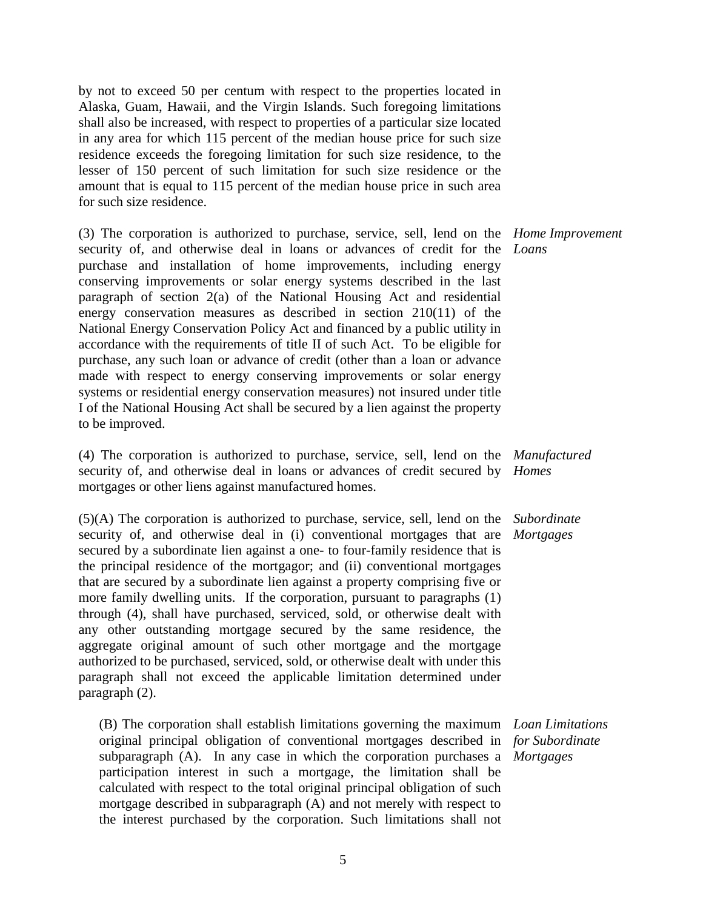by not to exceed 50 per centum with respect to the properties located in Alaska, Guam, Hawaii, and the Virgin Islands. Such foregoing limitations shall also be increased, with respect to properties of a particular size located in any area for which 115 percent of the median house price for such size residence exceeds the foregoing limitation for such size residence, to the lesser of 150 percent of such limitation for such size residence or the amount that is equal to 115 percent of the median house price in such area for such size residence.

(3) The corporation is authorized to purchase, service, sell, lend on the *Home Improvement*  security of, and otherwise deal in loans or advances of credit for the *Loans* purchase and installation of home improvements, including energy conserving improvements or solar energy systems described in the last paragraph of section 2(a) of the National Housing Act and residential energy conservation measures as described in section 210(11) of the National Energy Conservation Policy Act and financed by a public utility in accordance with the requirements of title II of such Act. To be eligible for purchase, any such loan or advance of credit (other than a loan or advance made with respect to energy conserving improvements or solar energy systems or residential energy conservation measures) not insured under title I of the National Housing Act shall be secured by a lien against the property to be improved.

(4) The corporation is authorized to purchase, service, sell, lend on the *Manufactured*  security of, and otherwise deal in loans or advances of credit secured by *Homes* mortgages or other liens against manufactured homes.

(5)(A) The corporation is authorized to purchase, service, sell, lend on the *Subordinate*  security of, and otherwise deal in (i) conventional mortgages that are secured by a subordinate lien against a one- to four-family residence that is the principal residence of the mortgagor; and (ii) conventional mortgages that are secured by a subordinate lien against a property comprising five or more family dwelling units. If the corporation, pursuant to paragraphs (1) through (4), shall have purchased, serviced, sold, or otherwise dealt with any other outstanding mortgage secured by the same residence, the aggregate original amount of such other mortgage and the mortgage authorized to be purchased, serviced, sold, or otherwise dealt with under this paragraph shall not exceed the applicable limitation determined under paragraph (2).

(B) The corporation shall establish limitations governing the maximum *Loan Limitations* original principal obligation of conventional mortgages described in *for Subordinate*  subparagraph (A). In any case in which the corporation purchases a *Mortgages*participation interest in such a mortgage, the limitation shall be calculated with respect to the total original principal obligation of such mortgage described in subparagraph (A) and not merely with respect to the interest purchased by the corporation. Such limitations shall not

*Mortgages*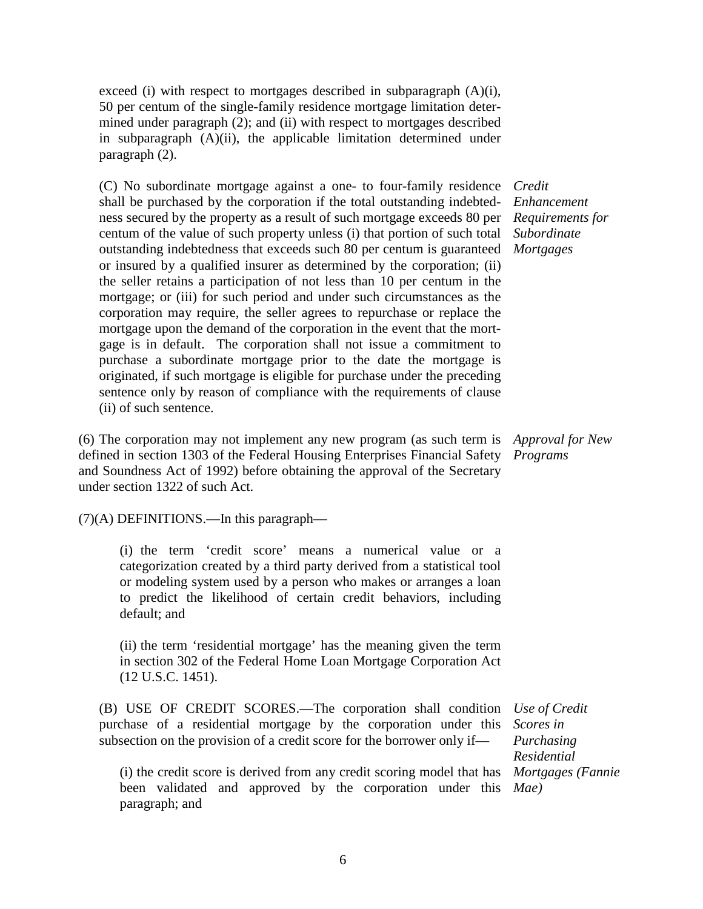exceed (i) with respect to mortgages described in subparagraph (A)(i), 50 per centum of the single-family residence mortgage limitation determined under paragraph (2); and (ii) with respect to mortgages described in subparagraph (A)(ii), the applicable limitation determined under paragraph (2).

(C) No subordinate mortgage against a one- to four-family residence *Credit*  shall be purchased by the corporation if the total outstanding indebtedness secured by the property as a result of such mortgage exceeds 80 per centum of the value of such property unless (i) that portion of such total outstanding indebtedness that exceeds such 80 per centum is guaranteed or insured by a qualified insurer as determined by the corporation; (ii) the seller retains a participation of not less than 10 per centum in the mortgage; or (iii) for such period and under such circumstances as the corporation may require, the seller agrees to repurchase or replace the mortgage upon the demand of the corporation in the event that the mortgage is in default. The corporation shall not issue a commitment to purchase a subordinate mortgage prior to the date the mortgage is originated, if such mortgage is eligible for purchase under the preceding sentence only by reason of compliance with the requirements of clause (ii) of such sentence.

(6) The corporation may not implement any new program (as such term is *Approval for New*  defined in section 1303 of the Federal Housing Enterprises Financial Safety *Programs* and Soundness Act of 1992) before obtaining the approval of the Secretary under section 1322 of such Act.

(7)(A) DEFINITIONS.—In this paragraph—

(i) the term 'credit score' means a numerical value or a categorization created by a third party derived from a statistical tool or modeling system used by a person who makes or arranges a loan to predict the likelihood of certain credit behaviors, including default; and

(ii) the term 'residential mortgage' has the meaning given the term in section 302 of the Federal Home Loan Mortgage Corporation Act (12 U.S.C. 1451).

(B) USE OF CREDIT SCORES.—The corporation shall condition purchase of a residential mortgage by the corporation under this subsection on the provision of a credit score for the borrower only if—

(i) the credit score is derived from any credit scoring model that has *Mortgages (Fannie*  been validated and approved by the corporation under this *Mae)*paragraph; and

*Enhancement Requirements for Subordinate Mortgages*

*Use of Credit Scores in Purchasing Residential*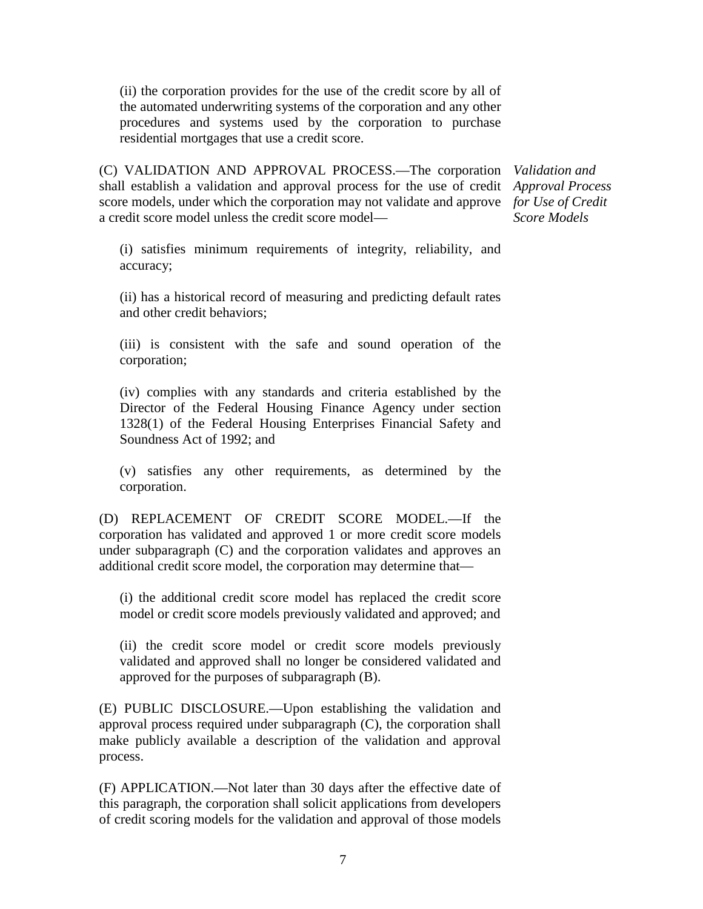(ii) the corporation provides for the use of the credit score by all of the automated underwriting systems of the corporation and any other procedures and systems used by the corporation to purchase residential mortgages that use a credit score.

(C) VALIDATION AND APPROVAL PROCESS.—The corporation *Validation and*  shall establish a validation and approval process for the use of credit *Approval Process*  score models, under which the corporation may not validate and approve *for Use of Credit*  a credit score model unless the credit score model—

*Score Models*

(i) satisfies minimum requirements of integrity, reliability, and accuracy;

(ii) has a historical record of measuring and predicting default rates and other credit behaviors;

(iii) is consistent with the safe and sound operation of the corporation;

(iv) complies with any standards and criteria established by the Director of the Federal Housing Finance Agency under section 1328(1) of the Federal Housing Enterprises Financial Safety and Soundness Act of 1992; and

(v) satisfies any other requirements, as determined by the corporation.

(D) REPLACEMENT OF CREDIT SCORE MODEL.—If the corporation has validated and approved 1 or more credit score models under subparagraph (C) and the corporation validates and approves an additional credit score model, the corporation may determine that—

(i) the additional credit score model has replaced the credit score model or credit score models previously validated and approved; and

(ii) the credit score model or credit score models previously validated and approved shall no longer be considered validated and approved for the purposes of subparagraph (B).

(E) PUBLIC DISCLOSURE.—Upon establishing the validation and approval process required under subparagraph (C), the corporation shall make publicly available a description of the validation and approval process.

(F) APPLICATION.—Not later than 30 days after the effective date of this paragraph, the corporation shall solicit applications from developers of credit scoring models for the validation and approval of those models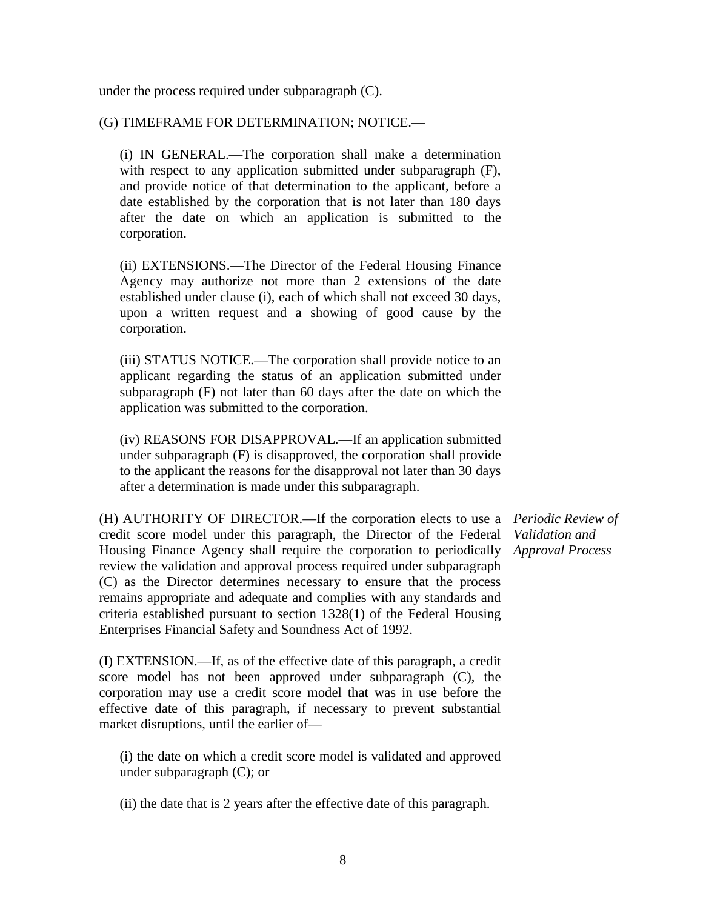under the process required under subparagraph (C).

# (G) TIMEFRAME FOR DETERMINATION; NOTICE.—

(i) IN GENERAL.—The corporation shall make a determination with respect to any application submitted under subparagraph (F), and provide notice of that determination to the applicant, before a date established by the corporation that is not later than 180 days after the date on which an application is submitted to the corporation.

(ii) EXTENSIONS.—The Director of the Federal Housing Finance Agency may authorize not more than 2 extensions of the date established under clause (i), each of which shall not exceed 30 days, upon a written request and a showing of good cause by the corporation.

(iii) STATUS NOTICE.—The corporation shall provide notice to an applicant regarding the status of an application submitted under subparagraph (F) not later than 60 days after the date on which the application was submitted to the corporation.

(iv) REASONS FOR DISAPPROVAL.—If an application submitted under subparagraph (F) is disapproved, the corporation shall provide to the applicant the reasons for the disapproval not later than 30 days after a determination is made under this subparagraph.

(H) AUTHORITY OF DIRECTOR.—If the corporation elects to use a *Periodic Review of*  credit score model under this paragraph, the Director of the Federal Housing Finance Agency shall require the corporation to periodically *Approval Process*review the validation and approval process required under subparagraph (C) as the Director determines necessary to ensure that the process remains appropriate and adequate and complies with any standards and criteria established pursuant to section 1328(1) of the Federal Housing Enterprises Financial Safety and Soundness Act of 1992.

(I) EXTENSION.—If, as of the effective date of this paragraph, a credit score model has not been approved under subparagraph (C), the corporation may use a credit score model that was in use before the effective date of this paragraph, if necessary to prevent substantial market disruptions, until the earlier of—

(i) the date on which a credit score model is validated and approved under subparagraph (C); or

(ii) the date that is 2 years after the effective date of this paragraph.

*Validation and*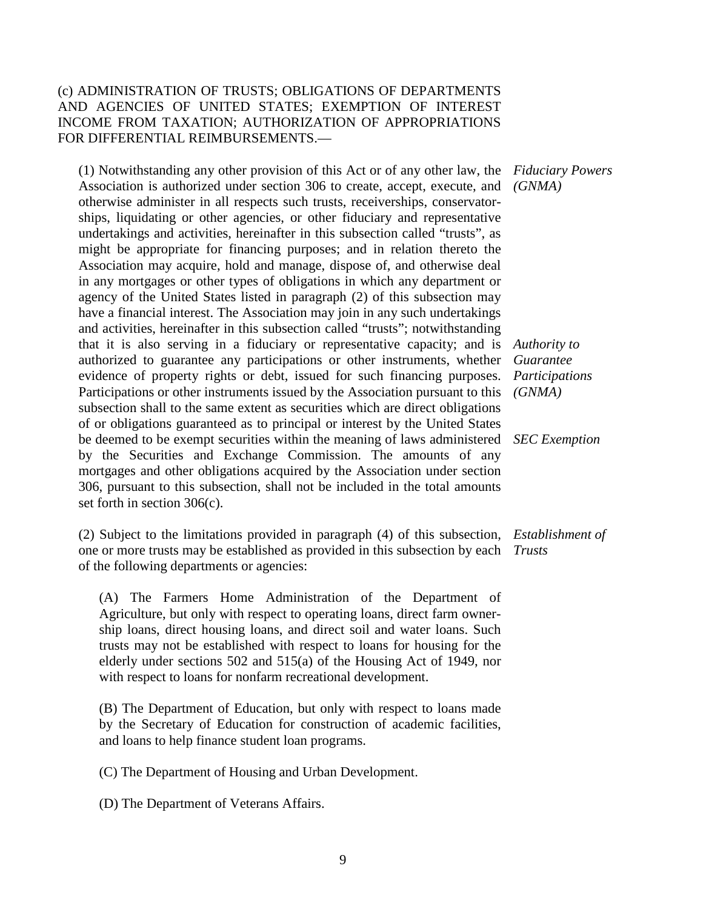# (c) ADMINISTRATION OF TRUSTS; OBLIGATIONS OF DEPARTMENTS AND AGENCIES OF UNITED STATES; EXEMPTION OF INTEREST INCOME FROM TAXATION; AUTHORIZATION OF APPROPRIATIONS FOR DIFFERENTIAL REIMBURSEMENTS.—

(1) Notwithstanding any other provision of this Act or of any other law, the *Fiduciary Powers*  Association is authorized under section 306 to create, accept, execute, and otherwise administer in all respects such trusts, receiverships, conservatorships, liquidating or other agencies, or other fiduciary and representative undertakings and activities, hereinafter in this subsection called "trusts", as might be appropriate for financing purposes; and in relation thereto the Association may acquire, hold and manage, dispose of, and otherwise deal in any mortgages or other types of obligations in which any department or agency of the United States listed in paragraph (2) of this subsection may have a financial interest. The Association may join in any such undertakings and activities, hereinafter in this subsection called "trusts"; notwithstanding that it is also serving in a fiduciary or representative capacity; and is authorized to guarantee any participations or other instruments, whether evidence of property rights or debt, issued for such financing purposes. Participations or other instruments issued by the Association pursuant to this subsection shall to the same extent as securities which are direct obligations of or obligations guaranteed as to principal or interest by the United States be deemed to be exempt securities within the meaning of laws administered by the Securities and Exchange Commission. The amounts of any mortgages and other obligations acquired by the Association under section 306, pursuant to this subsection, shall not be included in the total amounts set forth in section 306(c).

(2) Subject to the limitations provided in paragraph (4) of this subsection, *Establishment of*  one or more trusts may be established as provided in this subsection by each *Trusts* of the following departments or agencies:

(A) The Farmers Home Administration of the Department of Agriculture, but only with respect to operating loans, direct farm ownership loans, direct housing loans, and direct soil and water loans. Such trusts may not be established with respect to loans for housing for the elderly under sections 502 and 515(a) of the Housing Act of 1949, nor with respect to loans for nonfarm recreational development.

(B) The Department of Education, but only with respect to loans made by the Secretary of Education for construction of academic facilities, and loans to help finance student loan programs.

(C) The Department of Housing and Urban Development.

(D) The Department of Veterans Affairs.

*(GNMA)*

*Authority to Guarantee Participations (GNMA)*

*SEC Exemption*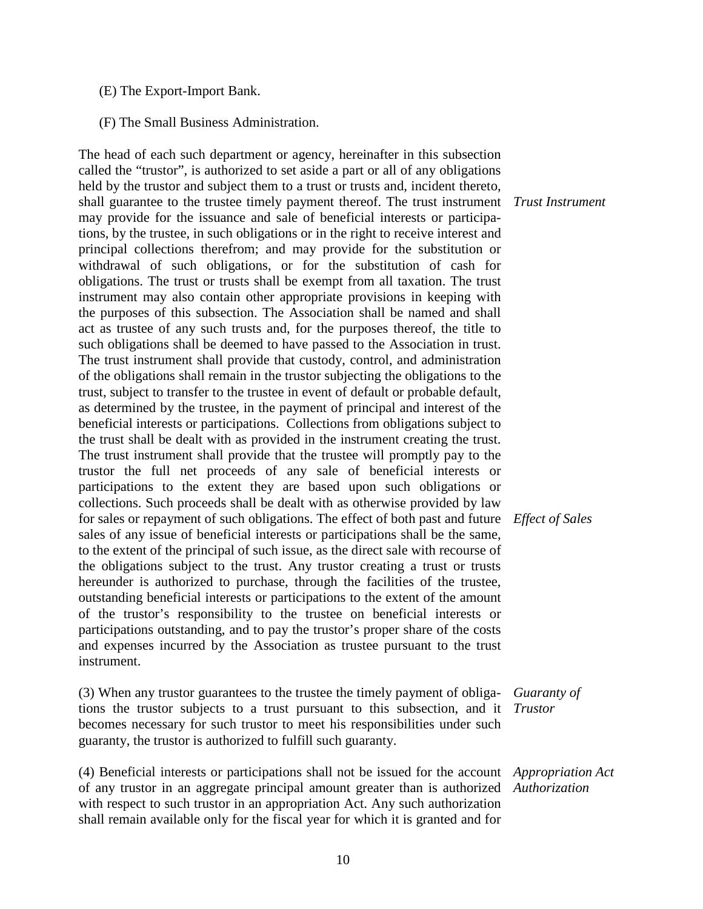- (E) The Export-Import Bank.
- (F) The Small Business Administration.

The head of each such department or agency, hereinafter in this subsection called the "trustor", is authorized to set aside a part or all of any obligations held by the trustor and subject them to a trust or trusts and, incident thereto, shall guarantee to the trustee timely payment thereof. The trust instrument may provide for the issuance and sale of beneficial interests or participations, by the trustee, in such obligations or in the right to receive interest and principal collections therefrom; and may provide for the substitution or withdrawal of such obligations, or for the substitution of cash for obligations. The trust or trusts shall be exempt from all taxation. The trust instrument may also contain other appropriate provisions in keeping with the purposes of this subsection. The Association shall be named and shall act as trustee of any such trusts and, for the purposes thereof, the title to such obligations shall be deemed to have passed to the Association in trust. The trust instrument shall provide that custody, control, and administration of the obligations shall remain in the trustor subjecting the obligations to the trust, subject to transfer to the trustee in event of default or probable default, as determined by the trustee, in the payment of principal and interest of the beneficial interests or participations. Collections from obligations subject to the trust shall be dealt with as provided in the instrument creating the trust. The trust instrument shall provide that the trustee will promptly pay to the trustor the full net proceeds of any sale of beneficial interests or participations to the extent they are based upon such obligations or collections. Such proceeds shall be dealt with as otherwise provided by law for sales or repayment of such obligations. The effect of both past and future *Effect of Sales* sales of any issue of beneficial interests or participations shall be the same, to the extent of the principal of such issue, as the direct sale with recourse of the obligations subject to the trust. Any trustor creating a trust or trusts hereunder is authorized to purchase, through the facilities of the trustee, outstanding beneficial interests or participations to the extent of the amount of the trustor's responsibility to the trustee on beneficial interests or participations outstanding, and to pay the trustor's proper share of the costs and expenses incurred by the Association as trustee pursuant to the trust instrument.

(3) When any trustor guarantees to the trustee the timely payment of obligations the trustor subjects to a trust pursuant to this subsection, and it becomes necessary for such trustor to meet his responsibilities under such guaranty, the trustor is authorized to fulfill such guaranty.

(4) Beneficial interests or participations shall not be issued for the account *Appropriation Act*  of any trustor in an aggregate principal amount greater than is authorized *Authorization*with respect to such trustor in an appropriation Act. Any such authorization shall remain available only for the fiscal year for which it is granted and for

*Trust Instrument*

*Guaranty of Trustor*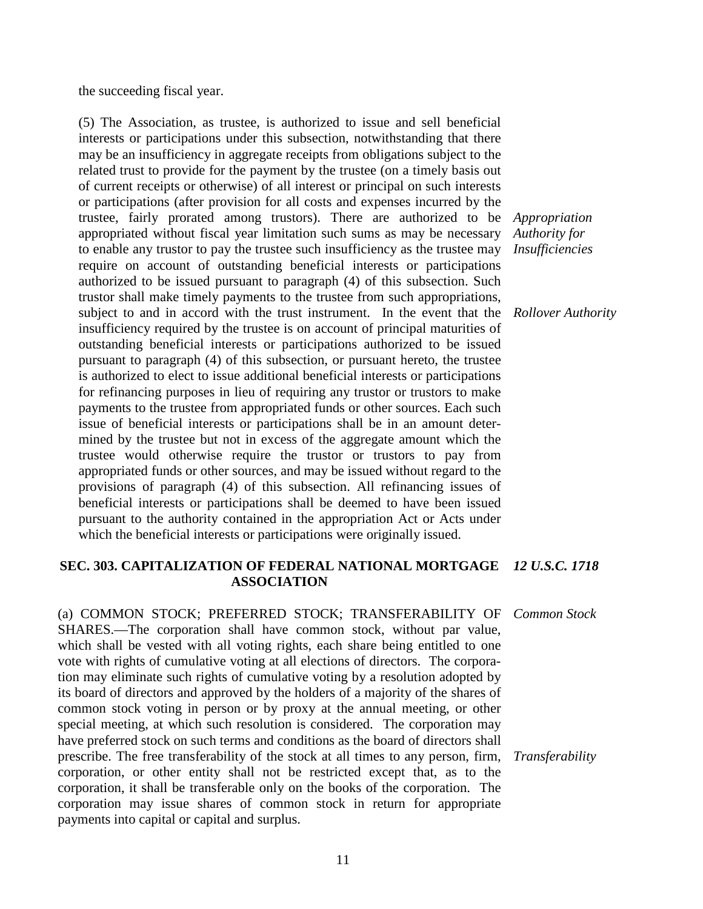the succeeding fiscal year.

(5) The Association, as trustee, is authorized to issue and sell beneficial interests or participations under this subsection, notwithstanding that there may be an insufficiency in aggregate receipts from obligations subject to the related trust to provide for the payment by the trustee (on a timely basis out of current receipts or otherwise) of all interest or principal on such interests or participations (after provision for all costs and expenses incurred by the trustee, fairly prorated among trustors). There are authorized to be appropriated without fiscal year limitation such sums as may be necessary to enable any trustor to pay the trustee such insufficiency as the trustee may require on account of outstanding beneficial interests or participations authorized to be issued pursuant to paragraph (4) of this subsection. Such trustor shall make timely payments to the trustee from such appropriations, subject to and in accord with the trust instrument. In the event that the insufficiency required by the trustee is on account of principal maturities of outstanding beneficial interests or participations authorized to be issued pursuant to paragraph (4) of this subsection, or pursuant hereto, the trustee is authorized to elect to issue additional beneficial interests or participations for refinancing purposes in lieu of requiring any trustor or trustors to make payments to the trustee from appropriated funds or other sources. Each such issue of beneficial interests or participations shall be in an amount determined by the trustee but not in excess of the aggregate amount which the trustee would otherwise require the trustor or trustors to pay from appropriated funds or other sources, and may be issued without regard to the provisions of paragraph (4) of this subsection. All refinancing issues of beneficial interests or participations shall be deemed to have been issued pursuant to the authority contained in the appropriation Act or Acts under which the beneficial interests or participations were originally issued.

*Appropriation Authority for Insufficiencies*

*Rollover Authority*

### **SEC. 303. CAPITALIZATION OF FEDERAL NATIONAL MORTGAGE ASSOCIATION**  *12 U.S.C. 1718*

(a) COMMON STOCK; PREFERRED STOCK; TRANSFERABILITY OF SHARES.—The corporation shall have common stock, without par value, which shall be vested with all voting rights, each share being entitled to one vote with rights of cumulative voting at all elections of directors. The corporation may eliminate such rights of cumulative voting by a resolution adopted by its board of directors and approved by the holders of a majority of the shares of common stock voting in person or by proxy at the annual meeting, or other special meeting, at which such resolution is considered. The corporation may have preferred stock on such terms and conditions as the board of directors shall prescribe. The free transferability of the stock at all times to any person, firm, corporation, or other entity shall not be restricted except that, as to the corporation, it shall be transferable only on the books of the corporation. The corporation may issue shares of common stock in return for appropriate payments into capital or capital and surplus.

*Common Stock*

*Transferability*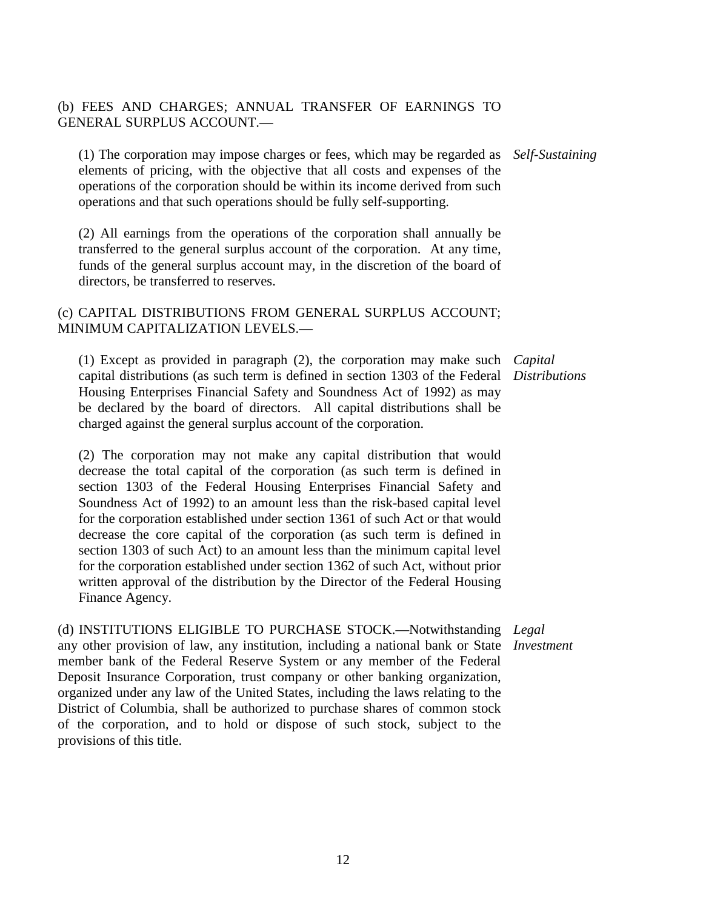# (b) FEES AND CHARGES; ANNUAL TRANSFER OF EARNINGS TO GENERAL SURPLUS ACCOUNT.—

(1) The corporation may impose charges or fees, which may be regarded as *Self-Sustaining* elements of pricing, with the objective that all costs and expenses of the operations of the corporation should be within its income derived from such operations and that such operations should be fully self-supporting.

(2) All earnings from the operations of the corporation shall annually be transferred to the general surplus account of the corporation. At any time, funds of the general surplus account may, in the discretion of the board of directors, be transferred to reserves.

# (c) CAPITAL DISTRIBUTIONS FROM GENERAL SURPLUS ACCOUNT; MINIMUM CAPITALIZATION LEVELS.—

(1) Except as provided in paragraph (2), the corporation may make such *Capital*  capital distributions (as such term is defined in section 1303 of the Federal *Distributions* Housing Enterprises Financial Safety and Soundness Act of 1992) as may be declared by the board of directors. All capital distributions shall be charged against the general surplus account of the corporation.

(2) The corporation may not make any capital distribution that would decrease the total capital of the corporation (as such term is defined in section 1303 of the Federal Housing Enterprises Financial Safety and Soundness Act of 1992) to an amount less than the risk-based capital level for the corporation established under section 1361 of such Act or that would decrease the core capital of the corporation (as such term is defined in section 1303 of such Act) to an amount less than the minimum capital level for the corporation established under section 1362 of such Act, without prior written approval of the distribution by the Director of the Federal Housing Finance Agency.

(d) INSTITUTIONS ELIGIBLE TO PURCHASE STOCK.—Notwithstanding *Legal*  any other provision of law, any institution, including a national bank or State *Investment*member bank of the Federal Reserve System or any member of the Federal Deposit Insurance Corporation, trust company or other banking organization, organized under any law of the United States, including the laws relating to the District of Columbia, shall be authorized to purchase shares of common stock of the corporation, and to hold or dispose of such stock, subject to the provisions of this title.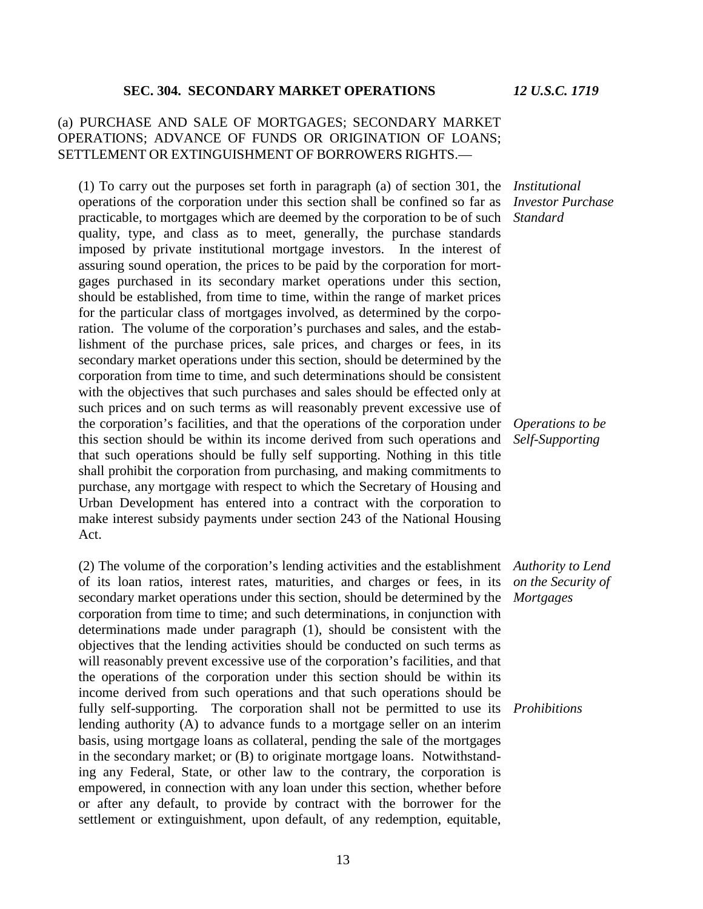### *12 U.S.C. 1719*

### **SEC. 304. SECONDARY MARKET OPERATIONS**

### (a) PURCHASE AND SALE OF MORTGAGES; SECONDARY MARKET OPERATIONS; ADVANCE OF FUNDS OR ORIGINATION OF LOANS; SETTLEMENT OR EXTINGUISHMENT OF BORROWERS RIGHTS.—

(1) To carry out the purposes set forth in paragraph (a) of section 301, the *Institutional*  operations of the corporation under this section shall be confined so far as practicable, to mortgages which are deemed by the corporation to be of such quality, type, and class as to meet, generally, the purchase standards imposed by private institutional mortgage investors. In the interest of assuring sound operation, the prices to be paid by the corporation for mortgages purchased in its secondary market operations under this section, should be established, from time to time, within the range of market prices for the particular class of mortgages involved, as determined by the corporation. The volume of the corporation's purchases and sales, and the establishment of the purchase prices, sale prices, and charges or fees, in its secondary market operations under this section, should be determined by the corporation from time to time, and such determinations should be consistent with the objectives that such purchases and sales should be effected only at such prices and on such terms as will reasonably prevent excessive use of the corporation's facilities, and that the operations of the corporation under this section should be within its income derived from such operations and that such operations should be fully self supporting. Nothing in this title shall prohibit the corporation from purchasing, and making commitments to purchase, any mortgage with respect to which the Secretary of Housing and Urban Development has entered into a contract with the corporation to make interest subsidy payments under section 243 of the National Housing Act.

(2) The volume of the corporation's lending activities and the establishment of its loan ratios, interest rates, maturities, and charges or fees, in its secondary market operations under this section, should be determined by the corporation from time to time; and such determinations, in conjunction with determinations made under paragraph (1), should be consistent with the objectives that the lending activities should be conducted on such terms as will reasonably prevent excessive use of the corporation's facilities, and that the operations of the corporation under this section should be within its income derived from such operations and that such operations should be fully self-supporting. The corporation shall not be permitted to use its *Prohibitions*lending authority (A) to advance funds to a mortgage seller on an interim basis, using mortgage loans as collateral, pending the sale of the mortgages in the secondary market; or (B) to originate mortgage loans. Notwithstanding any Federal, State, or other law to the contrary, the corporation is empowered, in connection with any loan under this section, whether before or after any default, to provide by contract with the borrower for the settlement or extinguishment, upon default, of any redemption, equitable,

*Investor Purchase Standard*

*Operations to be Self-Supporting*

*Authority to Lend on the Security of Mortgages*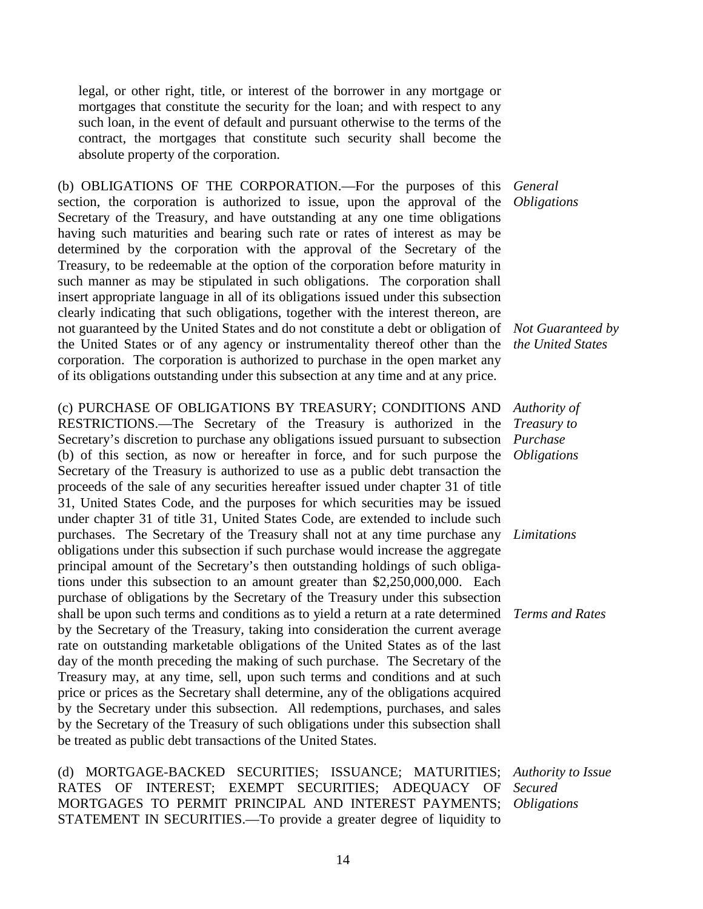legal, or other right, title, or interest of the borrower in any mortgage or mortgages that constitute the security for the loan; and with respect to any such loan, in the event of default and pursuant otherwise to the terms of the contract, the mortgages that constitute such security shall become the absolute property of the corporation.

(b) OBLIGATIONS OF THE CORPORATION.—For the purposes of this *General*  section, the corporation is authorized to issue, upon the approval of the Secretary of the Treasury, and have outstanding at any one time obligations having such maturities and bearing such rate or rates of interest as may be determined by the corporation with the approval of the Secretary of the Treasury, to be redeemable at the option of the corporation before maturity in such manner as may be stipulated in such obligations. The corporation shall insert appropriate language in all of its obligations issued under this subsection clearly indicating that such obligations, together with the interest thereon, are not guaranteed by the United States and do not constitute a debt or obligation of the United States or of any agency or instrumentality thereof other than the corporation. The corporation is authorized to purchase in the open market any of its obligations outstanding under this subsection at any time and at any price.

(c) PURCHASE OF OBLIGATIONS BY TREASURY; CONDITIONS AND RESTRICTIONS.—The Secretary of the Treasury is authorized in the Secretary's discretion to purchase any obligations issued pursuant to subsection (b) of this section, as now or hereafter in force, and for such purpose the Secretary of the Treasury is authorized to use as a public debt transaction the proceeds of the sale of any securities hereafter issued under chapter 31 of title 31, United States Code, and the purposes for which securities may be issued under chapter 31 of title 31, United States Code, are extended to include such purchases. The Secretary of the Treasury shall not at any time purchase any obligations under this subsection if such purchase would increase the aggregate principal amount of the Secretary's then outstanding holdings of such obligations under this subsection to an amount greater than \$2,250,000,000. Each purchase of obligations by the Secretary of the Treasury under this subsection shall be upon such terms and conditions as to yield a return at a rate determined *Terms and Rates* by the Secretary of the Treasury, taking into consideration the current average rate on outstanding marketable obligations of the United States as of the last day of the month preceding the making of such purchase. The Secretary of the Treasury may, at any time, sell, upon such terms and conditions and at such price or prices as the Secretary shall determine, any of the obligations acquired by the Secretary under this subsection. All redemptions, purchases, and sales by the Secretary of the Treasury of such obligations under this subsection shall be treated as public debt transactions of the United States.

(d) MORTGAGE-BACKED SECURITIES; ISSUANCE; MATURITIES; RATES OF INTEREST; EXEMPT SECURITIES; ADEQUACY OF MORTGAGES TO PERMIT PRINCIPAL AND INTEREST PAYMENTS; STATEMENT IN SECURITIES.—To provide a greater degree of liquidity to

*Obligations*

*Not Guaranteed by the United States*

*Authority of Treasury to Purchase Obligations*

*Limitations*

*Authority to Issue Secured Obligations*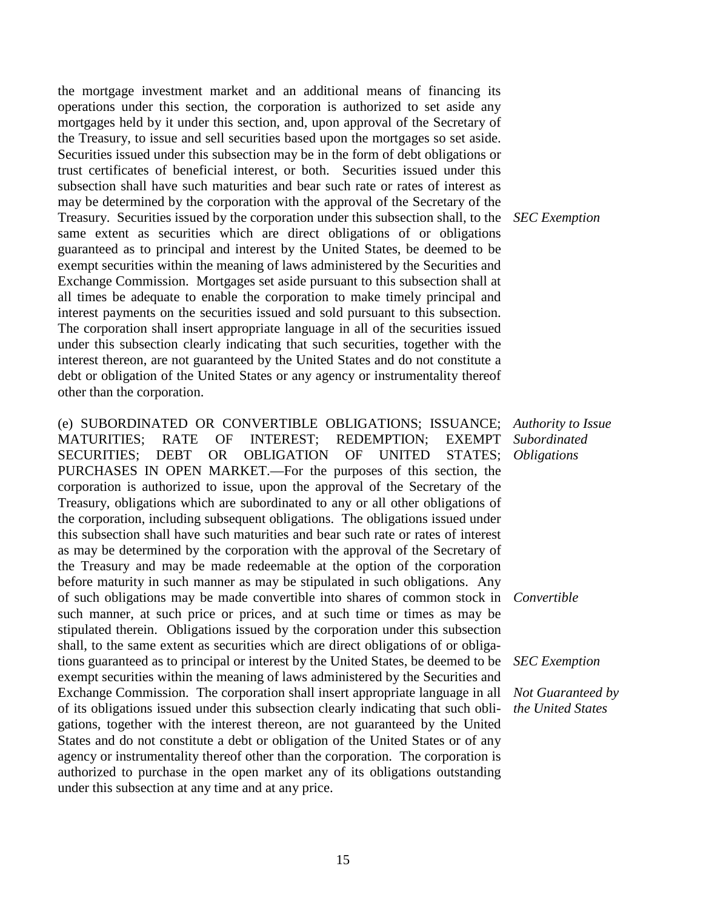the mortgage investment market and an additional means of financing its operations under this section, the corporation is authorized to set aside any mortgages held by it under this section, and, upon approval of the Secretary of the Treasury, to issue and sell securities based upon the mortgages so set aside. Securities issued under this subsection may be in the form of debt obligations or trust certificates of beneficial interest, or both. Securities issued under this subsection shall have such maturities and bear such rate or rates of interest as may be determined by the corporation with the approval of the Secretary of the Treasury. Securities issued by the corporation under this subsection shall, to the same extent as securities which are direct obligations of or obligations guaranteed as to principal and interest by the United States, be deemed to be exempt securities within the meaning of laws administered by the Securities and Exchange Commission. Mortgages set aside pursuant to this subsection shall at all times be adequate to enable the corporation to make timely principal and interest payments on the securities issued and sold pursuant to this subsection. The corporation shall insert appropriate language in all of the securities issued under this subsection clearly indicating that such securities, together with the interest thereon, are not guaranteed by the United States and do not constitute a debt or obligation of the United States or any agency or instrumentality thereof other than the corporation.

(e) SUBORDINATED OR CONVERTIBLE OBLIGATIONS; ISSUANCE; MATURITIES; RATE OF INTEREST; REDEMPTION; EXEMPT SECURITIES; DEBT OR OBLIGATION OF UNITED STATES; PURCHASES IN OPEN MARKET.—For the purposes of this section, the corporation is authorized to issue, upon the approval of the Secretary of the Treasury, obligations which are subordinated to any or all other obligations of the corporation, including subsequent obligations. The obligations issued under this subsection shall have such maturities and bear such rate or rates of interest as may be determined by the corporation with the approval of the Secretary of the Treasury and may be made redeemable at the option of the corporation before maturity in such manner as may be stipulated in such obligations. Any of such obligations may be made convertible into shares of common stock in *Convertible* such manner, at such price or prices, and at such time or times as may be stipulated therein. Obligations issued by the corporation under this subsection shall, to the same extent as securities which are direct obligations of or obligations guaranteed as to principal or interest by the United States, be deemed to be exempt securities within the meaning of laws administered by the Securities and Exchange Commission. The corporation shall insert appropriate language in all of its obligations issued under this subsection clearly indicating that such obligations, together with the interest thereon, are not guaranteed by the United States and do not constitute a debt or obligation of the United States or of any agency or instrumentality thereof other than the corporation. The corporation is authorized to purchase in the open market any of its obligations outstanding under this subsection at any time and at any price.

*SEC Exemption*

*Authority to Issue Subordinated Obligations*

*SEC Exemption*

*Not Guaranteed by the United States*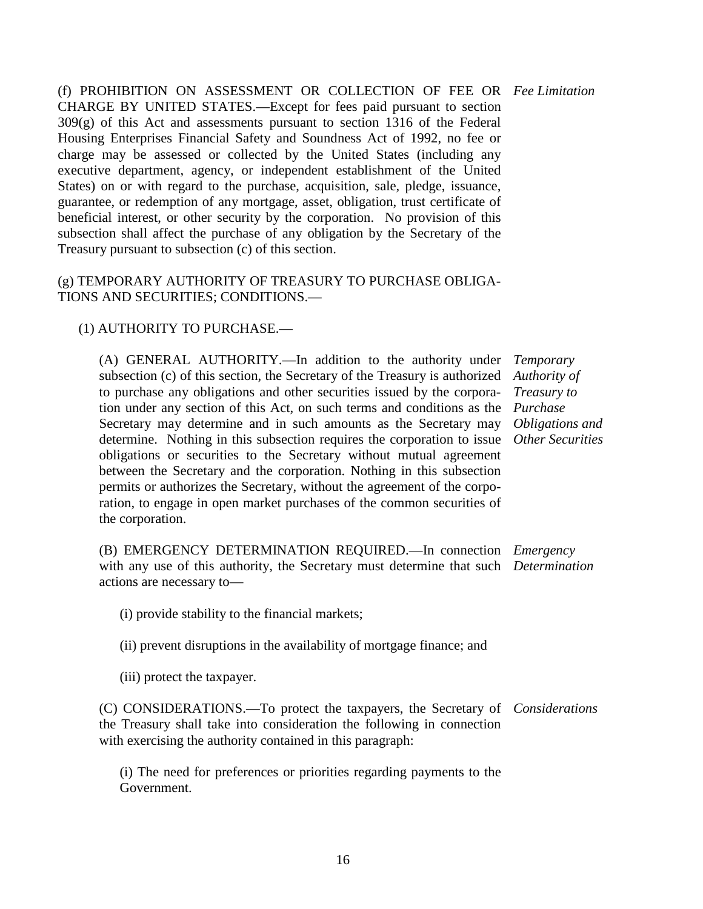(f) PROHIBITION ON ASSESSMENT OR COLLECTION OF FEE OR *Fee Limitation* CHARGE BY UNITED STATES.—Except for fees paid pursuant to section  $309(g)$  of this Act and assessments pursuant to section 1316 of the Federal Housing Enterprises Financial Safety and Soundness Act of 1992, no fee or charge may be assessed or collected by the United States (including any executive department, agency, or independent establishment of the United States) on or with regard to the purchase, acquisition, sale, pledge, issuance, guarantee, or redemption of any mortgage, asset, obligation, trust certificate of beneficial interest, or other security by the corporation. No provision of this subsection shall affect the purchase of any obligation by the Secretary of the Treasury pursuant to subsection (c) of this section.

### (g) TEMPORARY AUTHORITY OF TREASURY TO PURCHASE OBLIGA-TIONS AND SECURITIES; CONDITIONS.—

# (1) AUTHORITY TO PURCHASE.—

(A) GENERAL AUTHORITY.—In addition to the authority under subsection (c) of this section, the Secretary of the Treasury is authorized to purchase any obligations and other securities issued by the corporation under any section of this Act, on such terms and conditions as the *Purchase*  Secretary may determine and in such amounts as the Secretary may *Obligations and*  determine. Nothing in this subsection requires the corporation to issue *Other Securities* obligations or securities to the Secretary without mutual agreement between the Secretary and the corporation. Nothing in this subsection permits or authorizes the Secretary, without the agreement of the corporation, to engage in open market purchases of the common securities of the corporation.

*Temporary Authority of Treasury to* 

(B) EMERGENCY DETERMINATION REQUIRED.—In connection *Emergency*  with any use of this authority, the Secretary must determine that such *Determination* actions are necessary to—

(i) provide stability to the financial markets;

(ii) prevent disruptions in the availability of mortgage finance; and

(iii) protect the taxpayer.

(C) CONSIDERATIONS.—To protect the taxpayers, the Secretary of *Considerations*the Treasury shall take into consideration the following in connection with exercising the authority contained in this paragraph:

(i) The need for preferences or priorities regarding payments to the Government.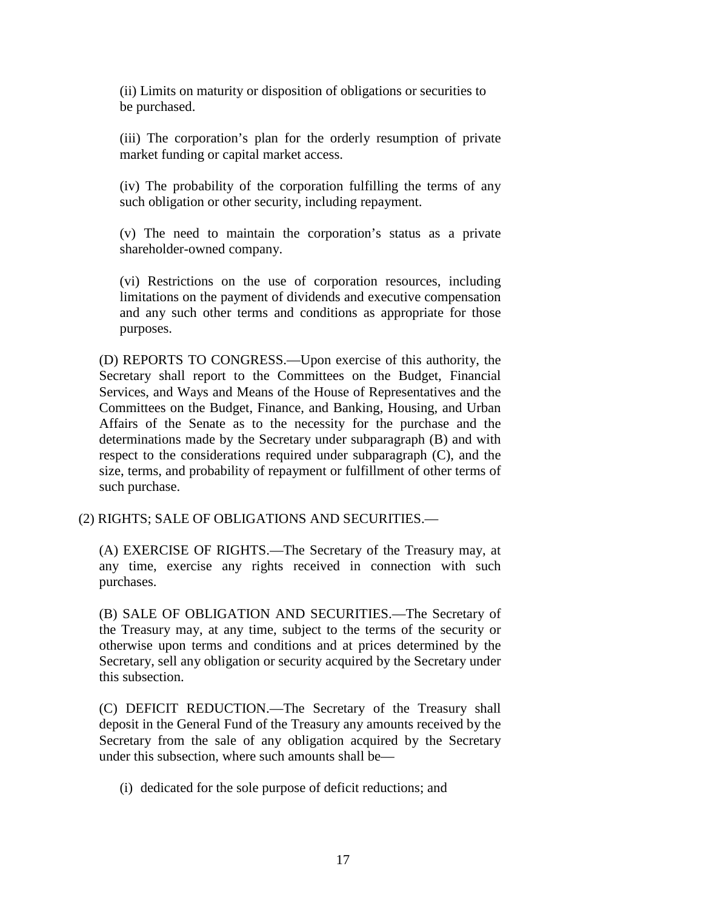(ii) Limits on maturity or disposition of obligations or securities to be purchased.

(iii) The corporation's plan for the orderly resumption of private market funding or capital market access.

(iv) The probability of the corporation fulfilling the terms of any such obligation or other security, including repayment.

(v) The need to maintain the corporation's status as a private shareholder-owned company.

(vi) Restrictions on the use of corporation resources, including limitations on the payment of dividends and executive compensation and any such other terms and conditions as appropriate for those purposes.

(D) REPORTS TO CONGRESS.—Upon exercise of this authority, the Secretary shall report to the Committees on the Budget, Financial Services, and Ways and Means of the House of Representatives and the Committees on the Budget, Finance, and Banking, Housing, and Urban Affairs of the Senate as to the necessity for the purchase and the determinations made by the Secretary under subparagraph (B) and with respect to the considerations required under subparagraph (C), and the size, terms, and probability of repayment or fulfillment of other terms of such purchase.

(2) RIGHTS; SALE OF OBLIGATIONS AND SECURITIES.—

(A) EXERCISE OF RIGHTS.—The Secretary of the Treasury may, at any time, exercise any rights received in connection with such purchases.

(B) SALE OF OBLIGATION AND SECURITIES.—The Secretary of the Treasury may, at any time, subject to the terms of the security or otherwise upon terms and conditions and at prices determined by the Secretary, sell any obligation or security acquired by the Secretary under this subsection.

(C) DEFICIT REDUCTION.—The Secretary of the Treasury shall deposit in the General Fund of the Treasury any amounts received by the Secretary from the sale of any obligation acquired by the Secretary under this subsection, where such amounts shall be—

(i) dedicated for the sole purpose of deficit reductions; and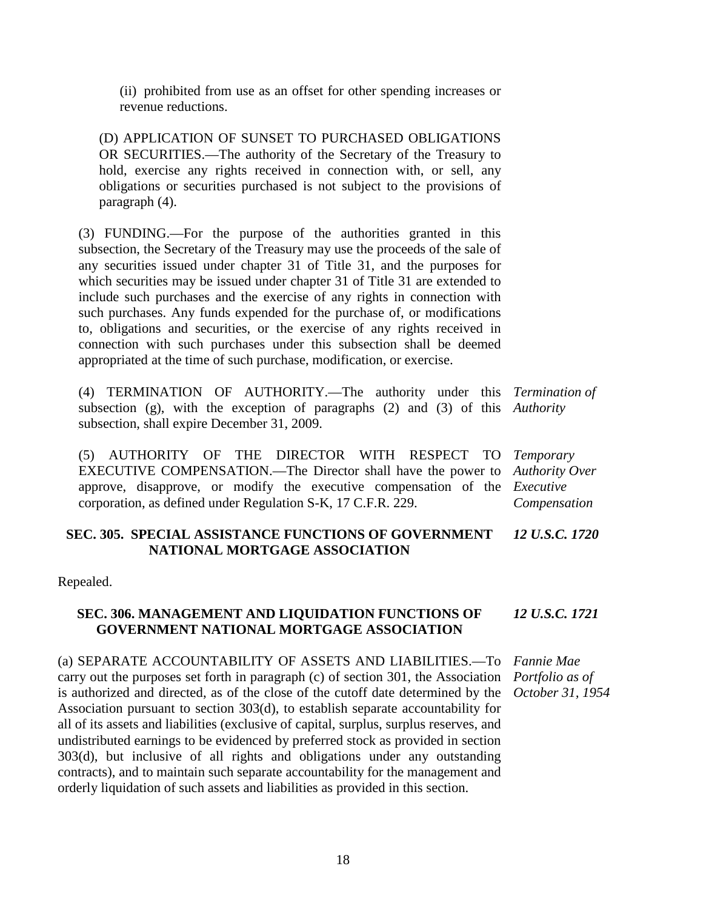(ii) prohibited from use as an offset for other spending increases or revenue reductions.

(D) APPLICATION OF SUNSET TO PURCHASED OBLIGATIONS OR SECURITIES.—The authority of the Secretary of the Treasury to hold, exercise any rights received in connection with, or sell, any obligations or securities purchased is not subject to the provisions of paragraph (4).

(3) FUNDING.—For the purpose of the authorities granted in this subsection, the Secretary of the Treasury may use the proceeds of the sale of any securities issued under chapter 31 of Title 31, and the purposes for which securities may be issued under chapter 31 of Title 31 are extended to include such purchases and the exercise of any rights in connection with such purchases. Any funds expended for the purchase of, or modifications to, obligations and securities, or the exercise of any rights received in connection with such purchases under this subsection shall be deemed appropriated at the time of such purchase, modification, or exercise.

(4) TERMINATION OF AUTHORITY.—The authority under this *Termination of*  subsection (g), with the exception of paragraphs (2) and (3) of this *Authority* subsection, shall expire December 31, 2009.

(5) AUTHORITY OF THE DIRECTOR WITH RESPECT TO EXECUTIVE COMPENSATION.—The Director shall have the power to approve, disapprove, or modify the executive compensation of the *Executive*  corporation, as defined under Regulation S-K, 17 C.F.R. 229.

*Temporary Authority Over Compensation*

#### **SEC. 305. SPECIAL ASSISTANCE FUNCTIONS OF GOVERNMENT NATIONAL MORTGAGE ASSOCIATION** *12 U.S.C. 1720*

Repealed.

#### **SEC. 306. MANAGEMENT AND LIQUIDATION FUNCTIONS OF GOVERNMENT NATIONAL MORTGAGE ASSOCIATION** *12 U.S.C. 1721*

(a) SEPARATE ACCOUNTABILITY OF ASSETS AND LIABILITIES.—To carry out the purposes set forth in paragraph (c) of section 301, the Association *Portfolio as of*  is authorized and directed, as of the close of the cutoff date determined by the Association pursuant to section 303(d), to establish separate accountability for all of its assets and liabilities (exclusive of capital, surplus, surplus reserves, and undistributed earnings to be evidenced by preferred stock as provided in section 303(d), but inclusive of all rights and obligations under any outstanding contracts), and to maintain such separate accountability for the management and orderly liquidation of such assets and liabilities as provided in this section. *Fannie Mae October 31, 1954*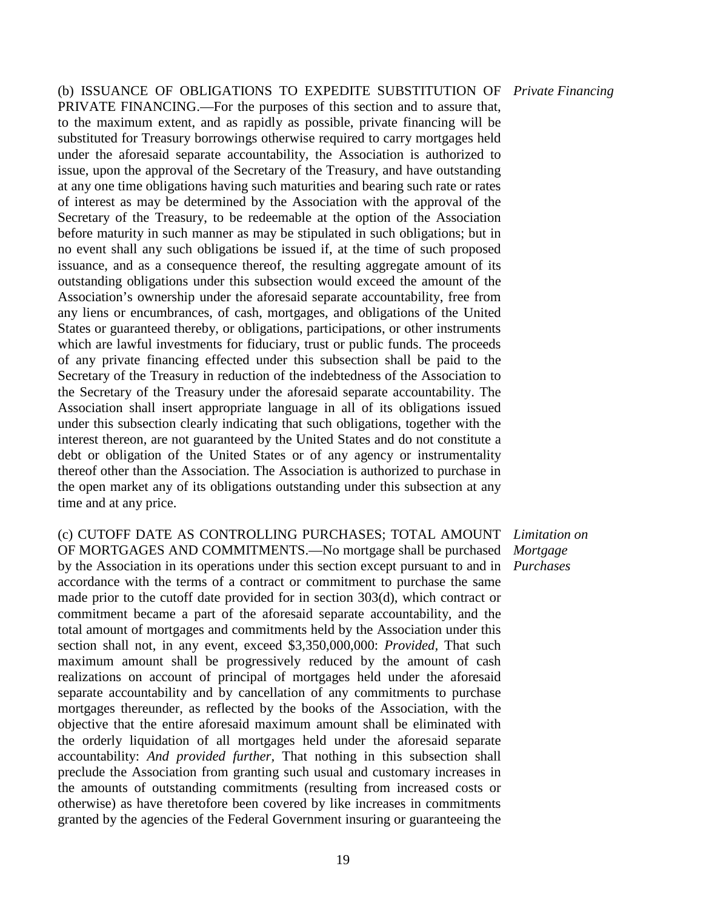(b) ISSUANCE OF OBLIGATIONS TO EXPEDITE SUBSTITUTION OF *Private Financing* PRIVATE FINANCING.—For the purposes of this section and to assure that, to the maximum extent, and as rapidly as possible, private financing will be substituted for Treasury borrowings otherwise required to carry mortgages held under the aforesaid separate accountability, the Association is authorized to issue, upon the approval of the Secretary of the Treasury, and have outstanding at any one time obligations having such maturities and bearing such rate or rates of interest as may be determined by the Association with the approval of the Secretary of the Treasury, to be redeemable at the option of the Association before maturity in such manner as may be stipulated in such obligations; but in no event shall any such obligations be issued if, at the time of such proposed issuance, and as a consequence thereof, the resulting aggregate amount of its outstanding obligations under this subsection would exceed the amount of the Association's ownership under the aforesaid separate accountability, free from any liens or encumbrances, of cash, mortgages, and obligations of the United States or guaranteed thereby, or obligations, participations, or other instruments which are lawful investments for fiduciary, trust or public funds. The proceeds of any private financing effected under this subsection shall be paid to the Secretary of the Treasury in reduction of the indebtedness of the Association to the Secretary of the Treasury under the aforesaid separate accountability. The Association shall insert appropriate language in all of its obligations issued under this subsection clearly indicating that such obligations, together with the interest thereon, are not guaranteed by the United States and do not constitute a debt or obligation of the United States or of any agency or instrumentality thereof other than the Association. The Association is authorized to purchase in the open market any of its obligations outstanding under this subsection at any time and at any price.

(c) CUTOFF DATE AS CONTROLLING PURCHASES; TOTAL AMOUNT OF MORTGAGES AND COMMITMENTS.—No mortgage shall be purchased by the Association in its operations under this section except pursuant to and in accordance with the terms of a contract or commitment to purchase the same made prior to the cutoff date provided for in section 303(d), which contract or commitment became a part of the aforesaid separate accountability, and the total amount of mortgages and commitments held by the Association under this section shall not, in any event, exceed \$3,350,000,000: *Provided,* That such maximum amount shall be progressively reduced by the amount of cash realizations on account of principal of mortgages held under the aforesaid separate accountability and by cancellation of any commitments to purchase mortgages thereunder, as reflected by the books of the Association, with the objective that the entire aforesaid maximum amount shall be eliminated with the orderly liquidation of all mortgages held under the aforesaid separate accountability: *And provided further,* That nothing in this subsection shall preclude the Association from granting such usual and customary increases in the amounts of outstanding commitments (resulting from increased costs or otherwise) as have theretofore been covered by like increases in commitments granted by the agencies of the Federal Government insuring or guaranteeing the

*Limitation on Mortgage Purchases*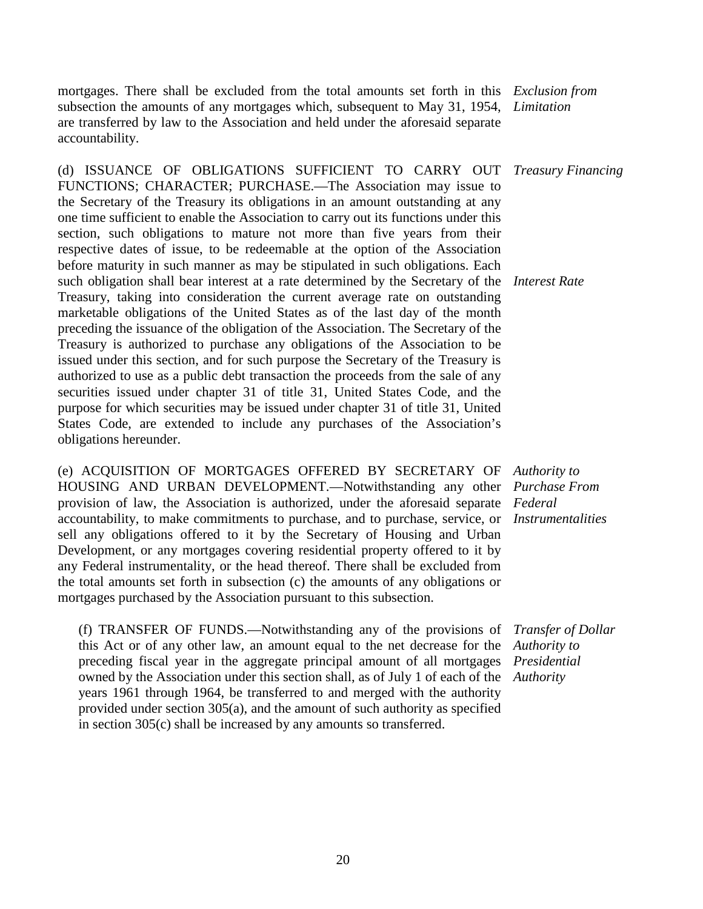mortgages. There shall be excluded from the total amounts set forth in this *Exclusion from*  subsection the amounts of any mortgages which, subsequent to May 31, 1954, *Limitation* are transferred by law to the Association and held under the aforesaid separate accountability.

(d) ISSUANCE OF OBLIGATIONS SUFFICIENT TO CARRY OUT FUNCTIONS; CHARACTER; PURCHASE.—The Association may issue to the Secretary of the Treasury its obligations in an amount outstanding at any one time sufficient to enable the Association to carry out its functions under this section, such obligations to mature not more than five years from their respective dates of issue, to be redeemable at the option of the Association before maturity in such manner as may be stipulated in such obligations. Each such obligation shall bear interest at a rate determined by the Secretary of the *Interest Rate* Treasury, taking into consideration the current average rate on outstanding marketable obligations of the United States as of the last day of the month preceding the issuance of the obligation of the Association. The Secretary of the Treasury is authorized to purchase any obligations of the Association to be issued under this section, and for such purpose the Secretary of the Treasury is authorized to use as a public debt transaction the proceeds from the sale of any securities issued under chapter 31 of title 31, United States Code, and the purpose for which securities may be issued under chapter 31 of title 31, United States Code, are extended to include any purchases of the Association's obligations hereunder.

(e) ACQUISITION OF MORTGAGES OFFERED BY SECRETARY OF HOUSING AND URBAN DEVELOPMENT.—Notwithstanding any other provision of law, the Association is authorized, under the aforesaid separate accountability, to make commitments to purchase, and to purchase, service, or *Instrumentalities* sell any obligations offered to it by the Secretary of Housing and Urban Development, or any mortgages covering residential property offered to it by any Federal instrumentality, or the head thereof. There shall be excluded from the total amounts set forth in subsection (c) the amounts of any obligations or mortgages purchased by the Association pursuant to this subsection.

(f) TRANSFER OF FUNDS.—Notwithstanding any of the provisions of this Act or of any other law, an amount equal to the net decrease for the preceding fiscal year in the aggregate principal amount of all mortgages owned by the Association under this section shall, as of July 1 of each of the *Authority*years 1961 through 1964, be transferred to and merged with the authority provided under section 305(a), and the amount of such authority as specified in section 305(c) shall be increased by any amounts so transferred.

*Treasury Financing*

*Authority to Purchase From Federal* 

*Transfer of Dollar Authority to Presidential*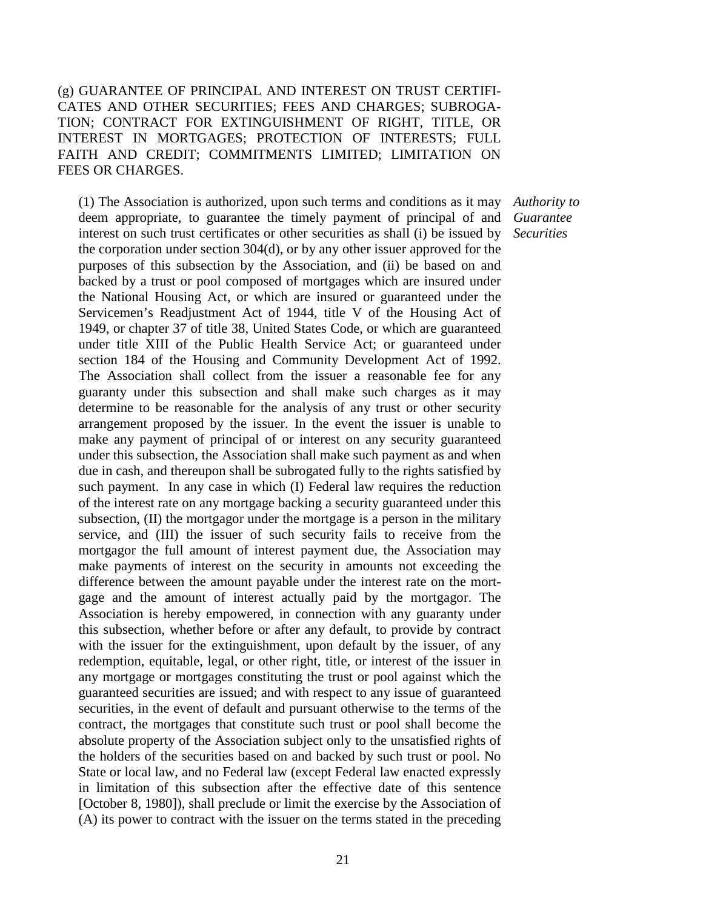# (g) GUARANTEE OF PRINCIPAL AND INTEREST ON TRUST CERTIFI-CATES AND OTHER SECURITIES; FEES AND CHARGES; SUBROGA-TION; CONTRACT FOR EXTINGUISHMENT OF RIGHT, TITLE, OR INTEREST IN MORTGAGES; PROTECTION OF INTERESTS; FULL FAITH AND CREDIT; COMMITMENTS LIMITED; LIMITATION ON FEES OR CHARGES.

(1) The Association is authorized, upon such terms and conditions as it may deem appropriate, to guarantee the timely payment of principal of and interest on such trust certificates or other securities as shall (i) be issued by the corporation under section 304(d), or by any other issuer approved for the purposes of this subsection by the Association, and (ii) be based on and backed by a trust or pool composed of mortgages which are insured under the National Housing Act, or which are insured or guaranteed under the Servicemen's Readjustment Act of 1944, title V of the Housing Act of 1949, or chapter 37 of title 38, United States Code, or which are guaranteed under title XIII of the Public Health Service Act; or guaranteed under section 184 of the Housing and Community Development Act of 1992. The Association shall collect from the issuer a reasonable fee for any guaranty under this subsection and shall make such charges as it may determine to be reasonable for the analysis of any trust or other security arrangement proposed by the issuer. In the event the issuer is unable to make any payment of principal of or interest on any security guaranteed under this subsection, the Association shall make such payment as and when due in cash, and thereupon shall be subrogated fully to the rights satisfied by such payment. In any case in which (I) Federal law requires the reduction of the interest rate on any mortgage backing a security guaranteed under this subsection, (II) the mortgagor under the mortgage is a person in the military service, and (III) the issuer of such security fails to receive from the mortgagor the full amount of interest payment due, the Association may make payments of interest on the security in amounts not exceeding the difference between the amount payable under the interest rate on the mortgage and the amount of interest actually paid by the mortgagor. The Association is hereby empowered, in connection with any guaranty under this subsection, whether before or after any default, to provide by contract with the issuer for the extinguishment, upon default by the issuer, of any redemption, equitable, legal, or other right, title, or interest of the issuer in any mortgage or mortgages constituting the trust or pool against which the guaranteed securities are issued; and with respect to any issue of guaranteed securities, in the event of default and pursuant otherwise to the terms of the contract, the mortgages that constitute such trust or pool shall become the absolute property of the Association subject only to the unsatisfied rights of the holders of the securities based on and backed by such trust or pool. No State or local law, and no Federal law (except Federal law enacted expressly in limitation of this subsection after the effective date of this sentence [October 8, 1980]), shall preclude or limit the exercise by the Association of (A) its power to contract with the issuer on the terms stated in the preceding

*Authority to Guarantee Securities*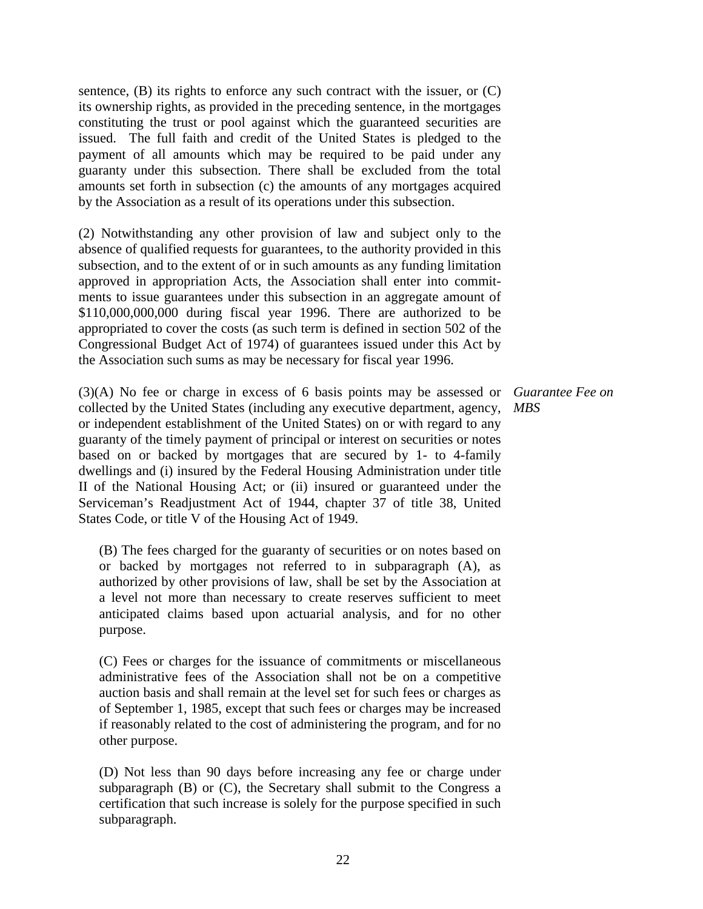sentence,  $(B)$  its rights to enforce any such contract with the issuer, or  $(C)$ its ownership rights, as provided in the preceding sentence, in the mortgages constituting the trust or pool against which the guaranteed securities are issued. The full faith and credit of the United States is pledged to the payment of all amounts which may be required to be paid under any guaranty under this subsection. There shall be excluded from the total amounts set forth in subsection (c) the amounts of any mortgages acquired by the Association as a result of its operations under this subsection.

(2) Notwithstanding any other provision of law and subject only to the absence of qualified requests for guarantees, to the authority provided in this subsection, and to the extent of or in such amounts as any funding limitation approved in appropriation Acts, the Association shall enter into commitments to issue guarantees under this subsection in an aggregate amount of \$110,000,000,000 during fiscal year 1996. There are authorized to be appropriated to cover the costs (as such term is defined in section 502 of the Congressional Budget Act of 1974) of guarantees issued under this Act by the Association such sums as may be necessary for fiscal year 1996.

(3)(A) No fee or charge in excess of 6 basis points may be assessed or *Guarantee Fee on*  collected by the United States (including any executive department, agency, *MBS* or independent establishment of the United States) on or with regard to any guaranty of the timely payment of principal or interest on securities or notes based on or backed by mortgages that are secured by 1- to 4-family dwellings and (i) insured by the Federal Housing Administration under title II of the National Housing Act; or (ii) insured or guaranteed under the Serviceman's Readjustment Act of 1944, chapter 37 of title 38, United States Code, or title V of the Housing Act of 1949.

(B) The fees charged for the guaranty of securities or on notes based on or backed by mortgages not referred to in subparagraph (A), as authorized by other provisions of law, shall be set by the Association at a level not more than necessary to create reserves sufficient to meet anticipated claims based upon actuarial analysis, and for no other purpose.

(C) Fees or charges for the issuance of commitments or miscellaneous administrative fees of the Association shall not be on a competitive auction basis and shall remain at the level set for such fees or charges as of September 1, 1985, except that such fees or charges may be increased if reasonably related to the cost of administering the program, and for no other purpose.

(D) Not less than 90 days before increasing any fee or charge under subparagraph (B) or (C), the Secretary shall submit to the Congress a certification that such increase is solely for the purpose specified in such subparagraph.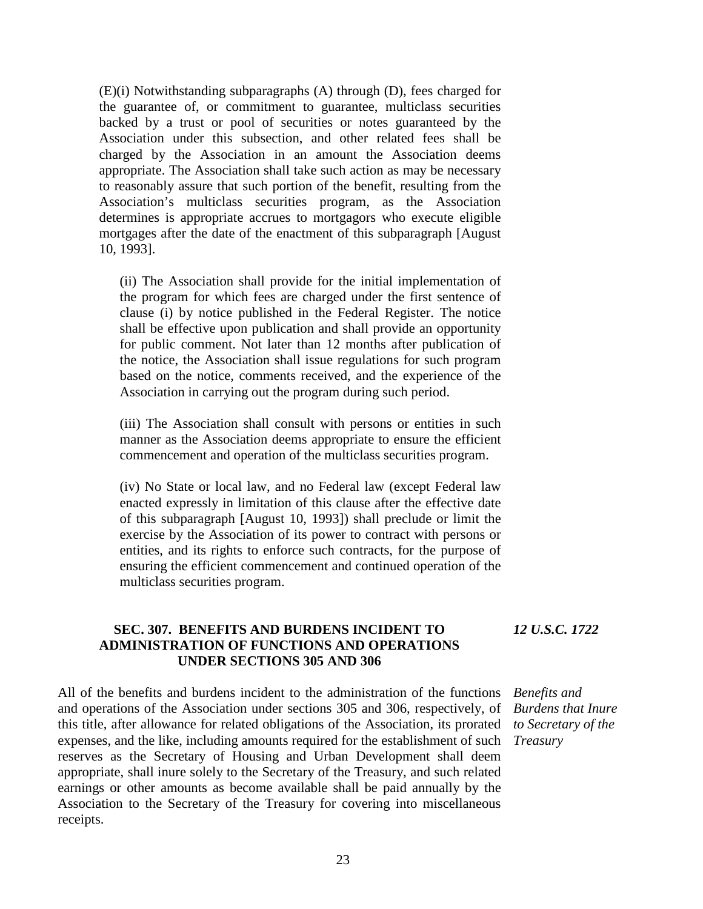(E)(i) Notwithstanding subparagraphs (A) through (D), fees charged for the guarantee of, or commitment to guarantee, multiclass securities backed by a trust or pool of securities or notes guaranteed by the Association under this subsection, and other related fees shall be charged by the Association in an amount the Association deems appropriate. The Association shall take such action as may be necessary to reasonably assure that such portion of the benefit, resulting from the Association's multiclass securities program, as the Association determines is appropriate accrues to mortgagors who execute eligible mortgages after the date of the enactment of this subparagraph [August 10, 1993].

(ii) The Association shall provide for the initial implementation of the program for which fees are charged under the first sentence of clause (i) by notice published in the Federal Register. The notice shall be effective upon publication and shall provide an opportunity for public comment. Not later than 12 months after publication of the notice, the Association shall issue regulations for such program based on the notice, comments received, and the experience of the Association in carrying out the program during such period.

(iii) The Association shall consult with persons or entities in such manner as the Association deems appropriate to ensure the efficient commencement and operation of the multiclass securities program.

(iv) No State or local law, and no Federal law (except Federal law enacted expressly in limitation of this clause after the effective date of this subparagraph [August 10, 1993]) shall preclude or limit the exercise by the Association of its power to contract with persons or entities, and its rights to enforce such contracts, for the purpose of ensuring the efficient commencement and continued operation of the multiclass securities program.

# **SEC. 307. BENEFITS AND BURDENS INCIDENT TO ADMINISTRATION OF FUNCTIONS AND OPERATIONS UNDER SECTIONS 305 AND 306**

All of the benefits and burdens incident to the administration of the functions and operations of the Association under sections 305 and 306, respectively, of this title, after allowance for related obligations of the Association, its prorated expenses, and the like, including amounts required for the establishment of such reserves as the Secretary of Housing and Urban Development shall deem appropriate, shall inure solely to the Secretary of the Treasury, and such related earnings or other amounts as become available shall be paid annually by the Association to the Secretary of the Treasury for covering into miscellaneous receipts.

*12 U.S.C. 1722*

*Benefits and Burdens that Inure to Secretary of the Treasury*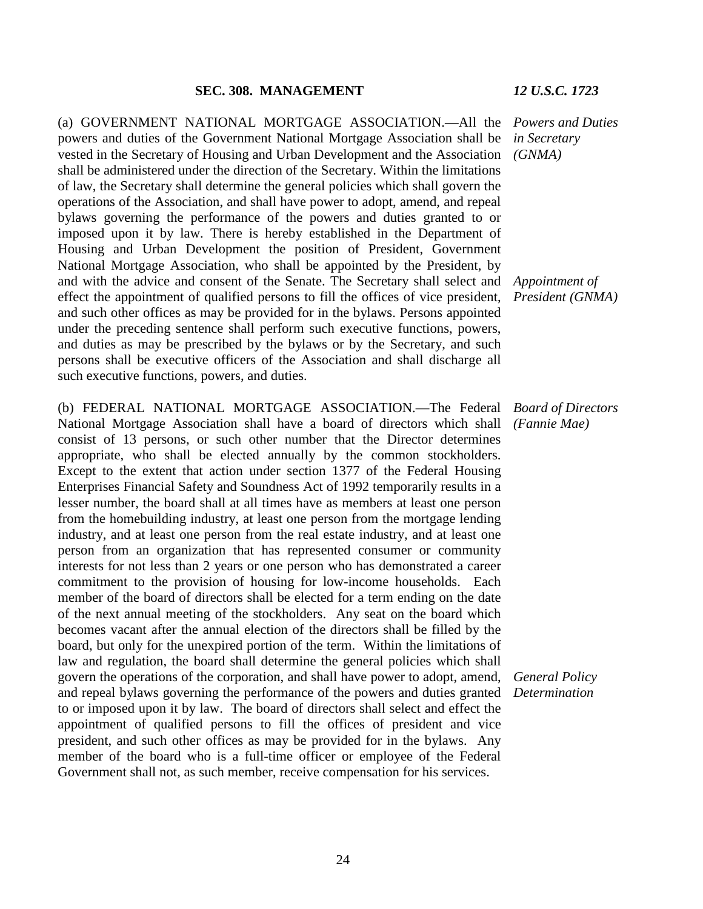(a) GOVERNMENT NATIONAL MORTGAGE ASSOCIATION.—All the *Powers and Duties*  powers and duties of the Government National Mortgage Association shall be vested in the Secretary of Housing and Urban Development and the Association shall be administered under the direction of the Secretary. Within the limitations of law, the Secretary shall determine the general policies which shall govern the operations of the Association, and shall have power to adopt, amend, and repeal bylaws governing the performance of the powers and duties granted to or imposed upon it by law. There is hereby established in the Department of Housing and Urban Development the position of President, Government National Mortgage Association, who shall be appointed by the President, by and with the advice and consent of the Senate. The Secretary shall select and *Appointment of*  effect the appointment of qualified persons to fill the offices of vice president, and such other offices as may be provided for in the bylaws. Persons appointed under the preceding sentence shall perform such executive functions, powers, and duties as may be prescribed by the bylaws or by the Secretary, and such persons shall be executive officers of the Association and shall discharge all such executive functions, powers, and duties.

(b) FEDERAL NATIONAL MORTGAGE ASSOCIATION.—The Federal *Board of Directors*  National Mortgage Association shall have a board of directors which shall consist of 13 persons, or such other number that the Director determines appropriate, who shall be elected annually by the common stockholders. Except to the extent that action under section 1377 of the Federal Housing Enterprises Financial Safety and Soundness Act of 1992 temporarily results in a lesser number, the board shall at all times have as members at least one person from the homebuilding industry, at least one person from the mortgage lending industry, and at least one person from the real estate industry, and at least one person from an organization that has represented consumer or community interests for not less than 2 years or one person who has demonstrated a career commitment to the provision of housing for low-income households. Each member of the board of directors shall be elected for a term ending on the date of the next annual meeting of the stockholders. Any seat on the board which becomes vacant after the annual election of the directors shall be filled by the board, but only for the unexpired portion of the term. Within the limitations of law and regulation, the board shall determine the general policies which shall govern the operations of the corporation, and shall have power to adopt, amend, and repeal bylaws governing the performance of the powers and duties granted to or imposed upon it by law. The board of directors shall select and effect the appointment of qualified persons to fill the offices of president and vice president, and such other offices as may be provided for in the bylaws. Any member of the board who is a full-time officer or employee of the Federal Government shall not, as such member, receive compensation for his services.

*in Secretary (GNMA)*

*President (GNMA)*

*(Fannie Mae)*

*General Policy Determination*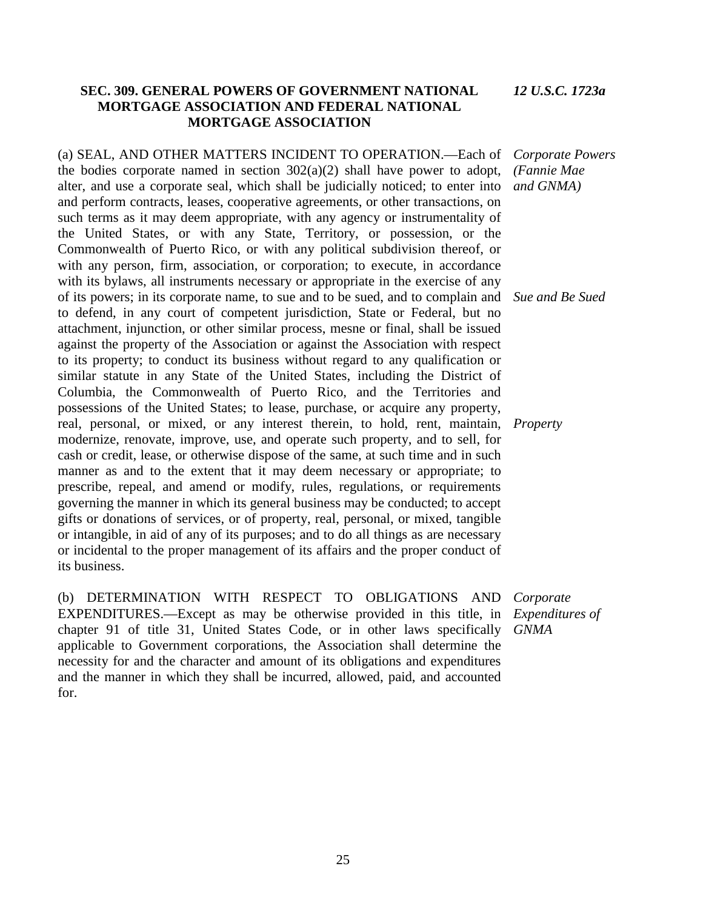# **SEC. 309. GENERAL POWERS OF GOVERNMENT NATIONAL MORTGAGE ASSOCIATION AND FEDERAL NATIONAL MORTGAGE ASSOCIATION**

(a) SEAL, AND OTHER MATTERS INCIDENT TO OPERATION.—Each of the bodies corporate named in section  $302(a)(2)$  shall have power to adopt, alter, and use a corporate seal, which shall be judicially noticed; to enter into and perform contracts, leases, cooperative agreements, or other transactions, on such terms as it may deem appropriate, with any agency or instrumentality of the United States, or with any State, Territory, or possession, or the Commonwealth of Puerto Rico, or with any political subdivision thereof, or with any person, firm, association, or corporation; to execute, in accordance with its bylaws, all instruments necessary or appropriate in the exercise of any of its powers; in its corporate name, to sue and to be sued, and to complain and *Sue and Be Sued* to defend, in any court of competent jurisdiction, State or Federal, but no attachment, injunction, or other similar process, mesne or final, shall be issued against the property of the Association or against the Association with respect to its property; to conduct its business without regard to any qualification or similar statute in any State of the United States, including the District of Columbia, the Commonwealth of Puerto Rico, and the Territories and possessions of the United States; to lease, purchase, or acquire any property, real, personal, or mixed, or any interest therein, to hold, rent, maintain, modernize, renovate, improve, use, and operate such property, and to sell, for cash or credit, lease, or otherwise dispose of the same, at such time and in such manner as and to the extent that it may deem necessary or appropriate; to prescribe, repeal, and amend or modify, rules, regulations, or requirements governing the manner in which its general business may be conducted; to accept gifts or donations of services, or of property, real, personal, or mixed, tangible or intangible, in aid of any of its purposes; and to do all things as are necessary or incidental to the proper management of its affairs and the proper conduct of its business.

(b) DETERMINATION WITH RESPECT TO OBLIGATIONS AND EXPENDITURES.—Except as may be otherwise provided in this title, in chapter 91 of title 31, United States Code, or in other laws specifically applicable to Government corporations, the Association shall determine the necessity for and the character and amount of its obligations and expenditures and the manner in which they shall be incurred, allowed, paid, and accounted for.

*Corporate Powers (Fannie Mae and GNMA)*

*Property*

*Corporate Expenditures of GNMA*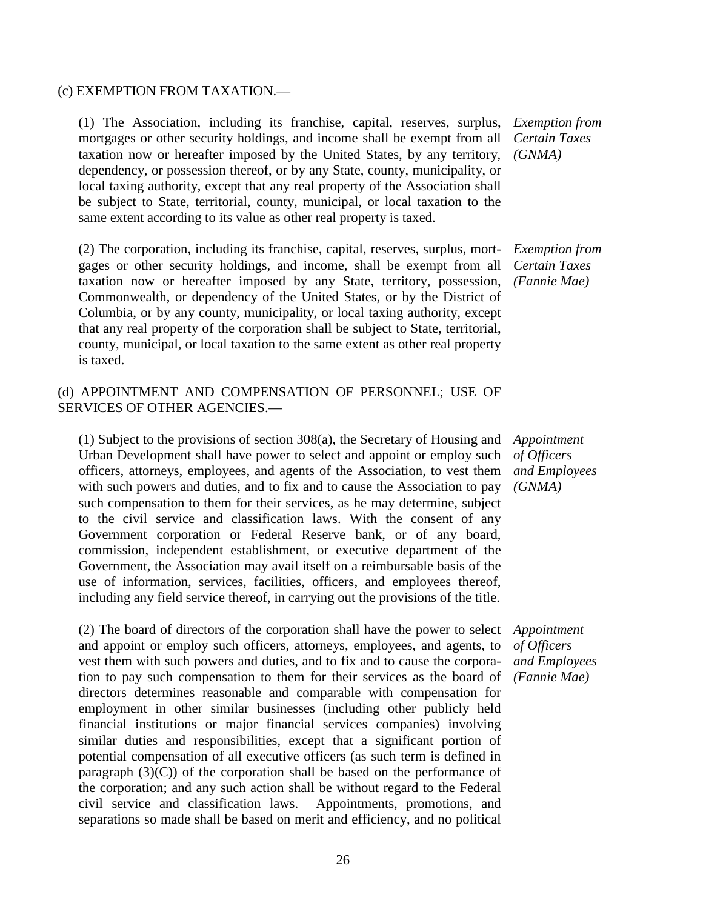### (c) EXEMPTION FROM TAXATION.—

(1) The Association, including its franchise, capital, reserves, surplus, mortgages or other security holdings, and income shall be exempt from all taxation now or hereafter imposed by the United States, by any territory, dependency, or possession thereof, or by any State, county, municipality, or local taxing authority, except that any real property of the Association shall be subject to State, territorial, county, municipal, or local taxation to the same extent according to its value as other real property is taxed.

(2) The corporation, including its franchise, capital, reserves, surplus, mortgages or other security holdings, and income, shall be exempt from all taxation now or hereafter imposed by any State, territory, possession, Commonwealth, or dependency of the United States, or by the District of Columbia, or by any county, municipality, or local taxing authority, except that any real property of the corporation shall be subject to State, territorial, county, municipal, or local taxation to the same extent as other real property is taxed.

# (d) APPOINTMENT AND COMPENSATION OF PERSONNEL; USE OF SERVICES OF OTHER AGENCIES.—

(1) Subject to the provisions of section 308(a), the Secretary of Housing and Urban Development shall have power to select and appoint or employ such officers, attorneys, employees, and agents of the Association, to vest them with such powers and duties, and to fix and to cause the Association to pay such compensation to them for their services, as he may determine, subject to the civil service and classification laws. With the consent of any Government corporation or Federal Reserve bank, or of any board, commission, independent establishment, or executive department of the Government, the Association may avail itself on a reimbursable basis of the use of information, services, facilities, officers, and employees thereof, including any field service thereof, in carrying out the provisions of the title.

(2) The board of directors of the corporation shall have the power to select and appoint or employ such officers, attorneys, employees, and agents, to vest them with such powers and duties, and to fix and to cause the corporation to pay such compensation to them for their services as the board of directors determines reasonable and comparable with compensation for employment in other similar businesses (including other publicly held financial institutions or major financial services companies) involving similar duties and responsibilities, except that a significant portion of potential compensation of all executive officers (as such term is defined in paragraph  $(3)(C)$  of the corporation shall be based on the performance of the corporation; and any such action shall be without regard to the Federal civil service and classification laws. Appointments, promotions, and separations so made shall be based on merit and efficiency, and no political

*Exemption from Certain Taxes (GNMA)*

*Exemption from Certain Taxes (Fannie Mae)*

*Appointment of Officers and Employees (GNMA)*

*Appointment of Officers and Employees (Fannie Mae)*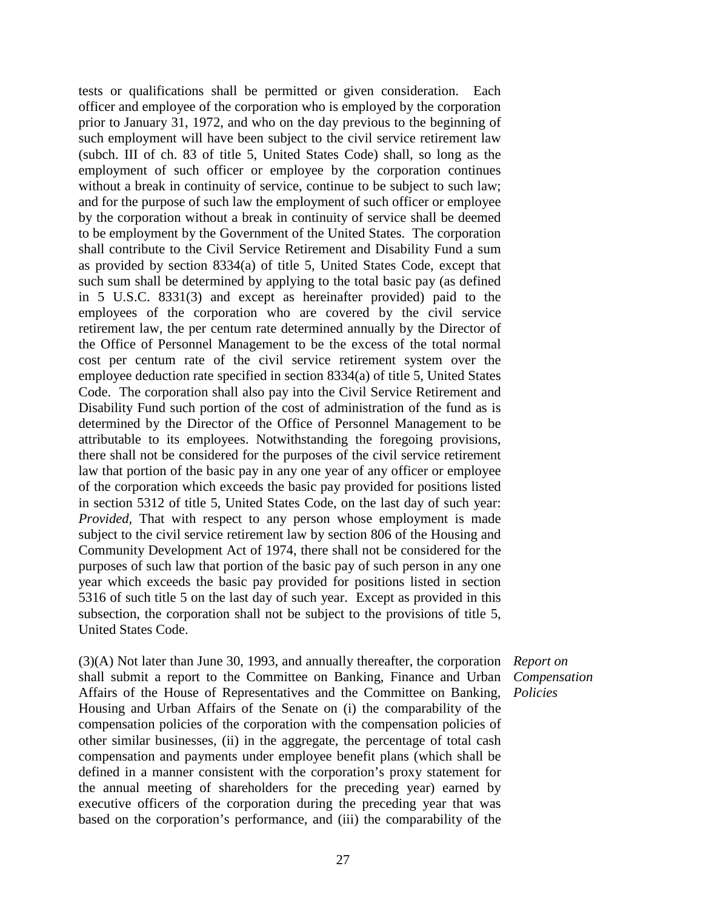tests or qualifications shall be permitted or given consideration. Each officer and employee of the corporation who is employed by the corporation prior to January 31, 1972, and who on the day previous to the beginning of such employment will have been subject to the civil service retirement law (subch. III of ch. 83 of title 5, United States Code) shall, so long as the employment of such officer or employee by the corporation continues without a break in continuity of service, continue to be subject to such law; and for the purpose of such law the employment of such officer or employee by the corporation without a break in continuity of service shall be deemed to be employment by the Government of the United States. The corporation shall contribute to the Civil Service Retirement and Disability Fund a sum as provided by section 8334(a) of title 5, United States Code, except that such sum shall be determined by applying to the total basic pay (as defined in 5 U.S.C. 8331(3) and except as hereinafter provided) paid to the employees of the corporation who are covered by the civil service retirement law, the per centum rate determined annually by the Director of the Office of Personnel Management to be the excess of the total normal cost per centum rate of the civil service retirement system over the employee deduction rate specified in section 8334(a) of title 5, United States Code. The corporation shall also pay into the Civil Service Retirement and Disability Fund such portion of the cost of administration of the fund as is determined by the Director of the Office of Personnel Management to be attributable to its employees. Notwithstanding the foregoing provisions, there shall not be considered for the purposes of the civil service retirement law that portion of the basic pay in any one year of any officer or employee of the corporation which exceeds the basic pay provided for positions listed in section 5312 of title 5, United States Code, on the last day of such year: *Provided,* That with respect to any person whose employment is made subject to the civil service retirement law by section 806 of the Housing and Community Development Act of 1974, there shall not be considered for the purposes of such law that portion of the basic pay of such person in any one year which exceeds the basic pay provided for positions listed in section 5316 of such title 5 on the last day of such year. Except as provided in this subsection, the corporation shall not be subject to the provisions of title 5, United States Code.

(3)(A) Not later than June 30, 1993, and annually thereafter, the corporation shall submit a report to the Committee on Banking, Finance and Urban Affairs of the House of Representatives and the Committee on Banking, Housing and Urban Affairs of the Senate on (i) the comparability of the compensation policies of the corporation with the compensation policies of other similar businesses, (ii) in the aggregate, the percentage of total cash compensation and payments under employee benefit plans (which shall be defined in a manner consistent with the corporation's proxy statement for the annual meeting of shareholders for the preceding year) earned by executive officers of the corporation during the preceding year that was based on the corporation's performance, and (iii) the comparability of the

*Report on Compensation Policies*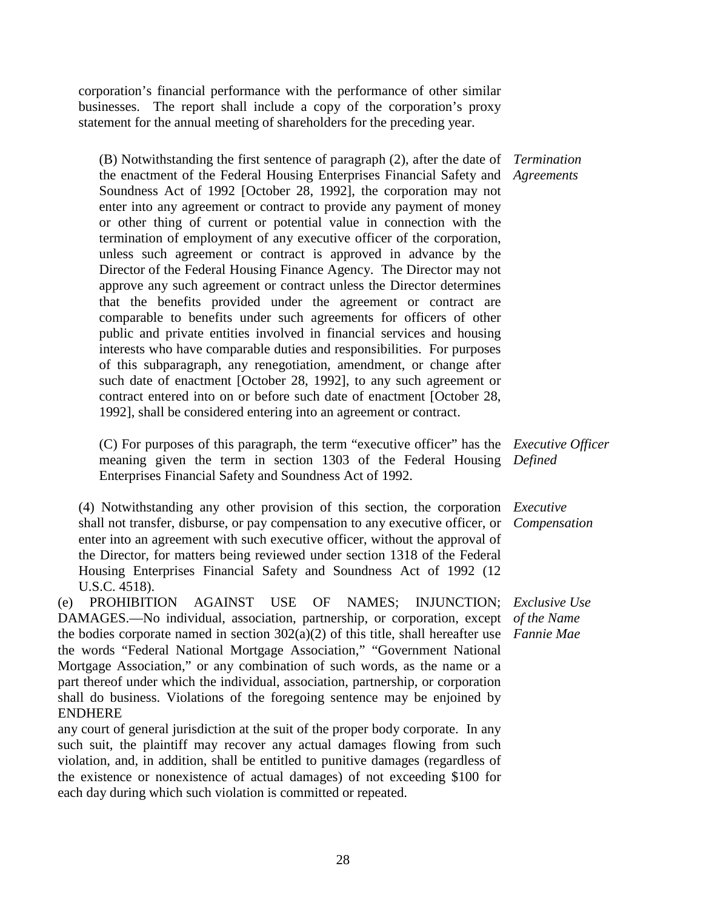corporation's financial performance with the performance of other similar businesses. The report shall include a copy of the corporation's proxy statement for the annual meeting of shareholders for the preceding year.

(B) Notwithstanding the first sentence of paragraph (2), after the date of *Termination*  the enactment of the Federal Housing Enterprises Financial Safety and *Agreements* Soundness Act of 1992 [October 28, 1992], the corporation may not enter into any agreement or contract to provide any payment of money or other thing of current or potential value in connection with the termination of employment of any executive officer of the corporation, unless such agreement or contract is approved in advance by the Director of the Federal Housing Finance Agency. The Director may not approve any such agreement or contract unless the Director determines that the benefits provided under the agreement or contract are comparable to benefits under such agreements for officers of other public and private entities involved in financial services and housing interests who have comparable duties and responsibilities. For purposes of this subparagraph, any renegotiation, amendment, or change after such date of enactment [October 28, 1992], to any such agreement or contract entered into on or before such date of enactment [October 28, 1992], shall be considered entering into an agreement or contract.

(C) For purposes of this paragraph, the term "executive officer" has the *Executive Officer*  meaning given the term in section 1303 of the Federal Housing *Defined* Enterprises Financial Safety and Soundness Act of 1992.

(4) Notwithstanding any other provision of this section, the corporation *Executive*  shall not transfer, disburse, or pay compensation to any executive officer, or enter into an agreement with such executive officer, without the approval of the Director, for matters being reviewed under section 1318 of the Federal Housing Enterprises Financial Safety and Soundness Act of 1992 (12 U.S.C. 4518).

(e) PROHIBITION AGAINST USE OF DAMAGES.—No individual, association, partnership, or corporation, except *of the Name* the bodies corporate named in section 302(a)(2) of this title, shall hereafter use *Fannie Mae* the words "Federal National Mortgage Association," "Government National Mortgage Association," or any combination of such words, as the name or a part thereof under which the individual, association, partnership, or corporation shall do business. Violations of the foregoing sentence may be enjoined by ENDHERE *Exclusive Use*

any court of general jurisdiction at the suit of the proper body corporate. In any such suit, the plaintiff may recover any actual damages flowing from such violation, and, in addition, shall be entitled to punitive damages (regardless of the existence or nonexistence of actual damages) of not exceeding \$100 for each day during which such violation is committed or repeated.

*Compensation*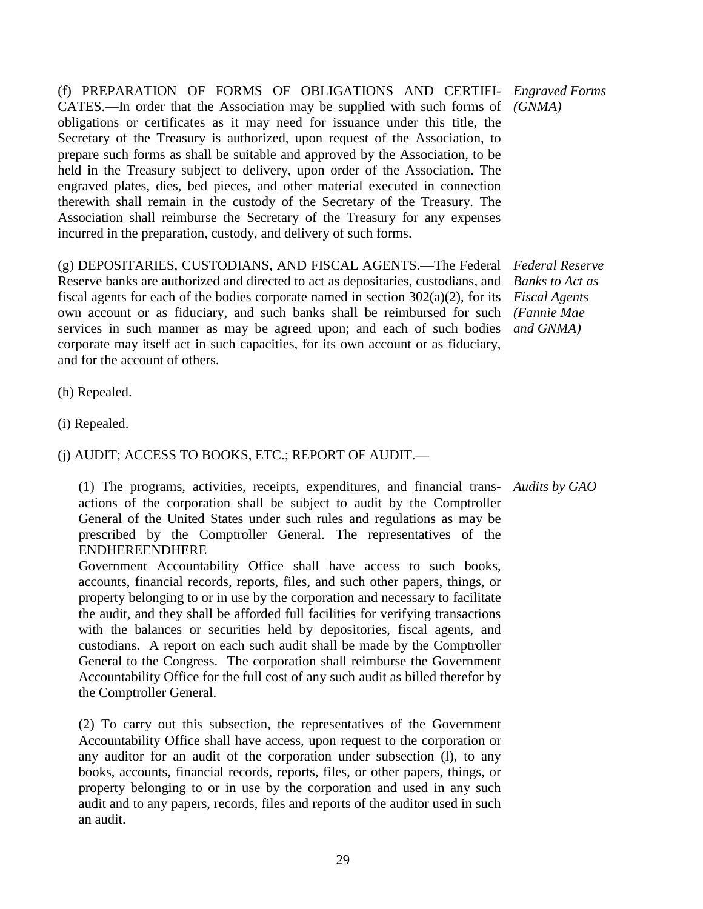(f) PREPARATION OF FORMS OF OBLIGATIONS AND CERTIFI-*Engraved Forms*  CATES.—In order that the Association may be supplied with such forms of *(GNMA)* obligations or certificates as it may need for issuance under this title, the Secretary of the Treasury is authorized, upon request of the Association, to prepare such forms as shall be suitable and approved by the Association, to be held in the Treasury subject to delivery, upon order of the Association. The engraved plates, dies, bed pieces, and other material executed in connection therewith shall remain in the custody of the Secretary of the Treasury. The Association shall reimburse the Secretary of the Treasury for any expenses incurred in the preparation, custody, and delivery of such forms.

(g) DEPOSITARIES, CUSTODIANS, AND FISCAL AGENTS.—The Federal *Federal Reserve*  Reserve banks are authorized and directed to act as depositaries, custodians, and fiscal agents for each of the bodies corporate named in section 302(a)(2), for its *Fiscal Agents* own account or as fiduciary, and such banks shall be reimbursed for such *(Fannie Mae* services in such manner as may be agreed upon; and each of such bodies *and GNMA)* corporate may itself act in such capacities, for its own account or as fiduciary, and for the account of others.

*Banks to Act as* 

(h) Repealed.

(i) Repealed.

### (j) AUDIT; ACCESS TO BOOKS, ETC.; REPORT OF AUDIT.—

(1) The programs, activities, receipts, expenditures, and financial trans-*Audits by GAO* actions of the corporation shall be subject to audit by the Comptroller General of the United States under such rules and regulations as may be prescribed by the Comptroller General. The representatives of the ENDHEREENDHERE

Government Accountability Office shall have access to such books, accounts, financial records, reports, files, and such other papers, things, or property belonging to or in use by the corporation and necessary to facilitate the audit, and they shall be afforded full facilities for verifying transactions with the balances or securities held by depositories, fiscal agents, and custodians. A report on each such audit shall be made by the Comptroller General to the Congress. The corporation shall reimburse the Government Accountability Office for the full cost of any such audit as billed therefor by the Comptroller General.

(2) To carry out this subsection, the representatives of the Government Accountability Office shall have access, upon request to the corporation or any auditor for an audit of the corporation under subsection (l), to any books, accounts, financial records, reports, files, or other papers, things, or property belonging to or in use by the corporation and used in any such audit and to any papers, records, files and reports of the auditor used in such an audit.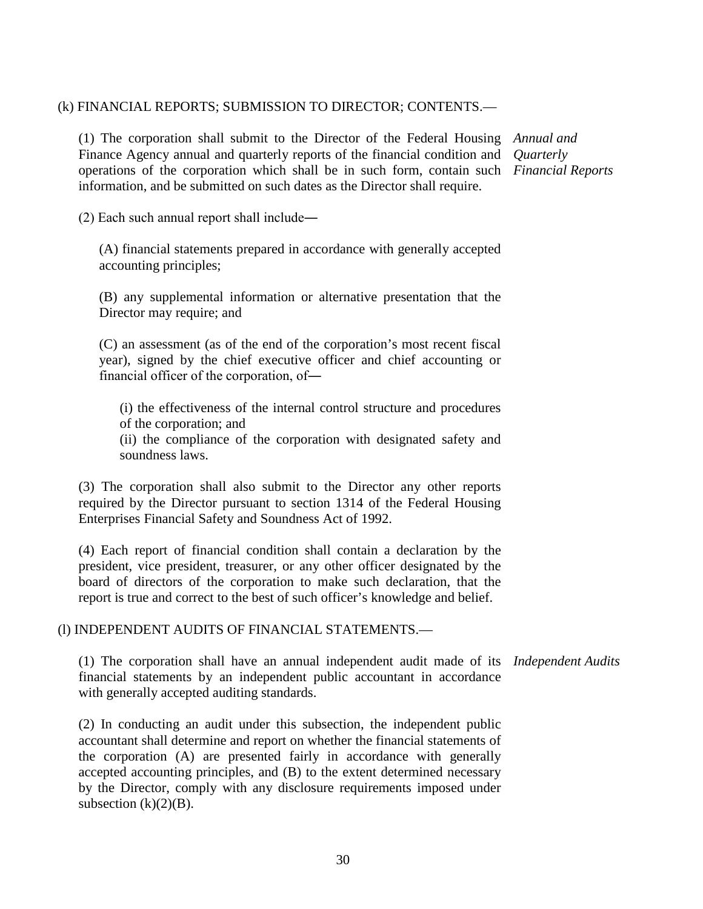### (k) FINANCIAL REPORTS; SUBMISSION TO DIRECTOR; CONTENTS.—

(1) The corporation shall submit to the Director of the Federal Housing *Annual and*  Finance Agency annual and quarterly reports of the financial condition and *Quarterly*  operations of the corporation which shall be in such form, contain such *Financial Reports* information, and be submitted on such dates as the Director shall require.

(2) Each such annual report shall include―

(A) financial statements prepared in accordance with generally accepted accounting principles;

(B) any supplemental information or alternative presentation that the Director may require; and

(C) an assessment (as of the end of the corporation's most recent fiscal year), signed by the chief executive officer and chief accounting or financial officer of the corporation, of―

(i) the effectiveness of the internal control structure and procedures of the corporation; and

(ii) the compliance of the corporation with designated safety and soundness laws.

(3) The corporation shall also submit to the Director any other reports required by the Director pursuant to section 1314 of the Federal Housing Enterprises Financial Safety and Soundness Act of 1992.

(4) Each report of financial condition shall contain a declaration by the president, vice president, treasurer, or any other officer designated by the board of directors of the corporation to make such declaration, that the report is true and correct to the best of such officer's knowledge and belief.

(l) INDEPENDENT AUDITS OF FINANCIAL STATEMENTS.—

(1) The corporation shall have an annual independent audit made of its *Independent Audits*financial statements by an independent public accountant in accordance with generally accepted auditing standards.

(2) In conducting an audit under this subsection, the independent public accountant shall determine and report on whether the financial statements of the corporation (A) are presented fairly in accordance with generally accepted accounting principles, and (B) to the extent determined necessary by the Director, comply with any disclosure requirements imposed under subsection  $(k)(2)(B)$ .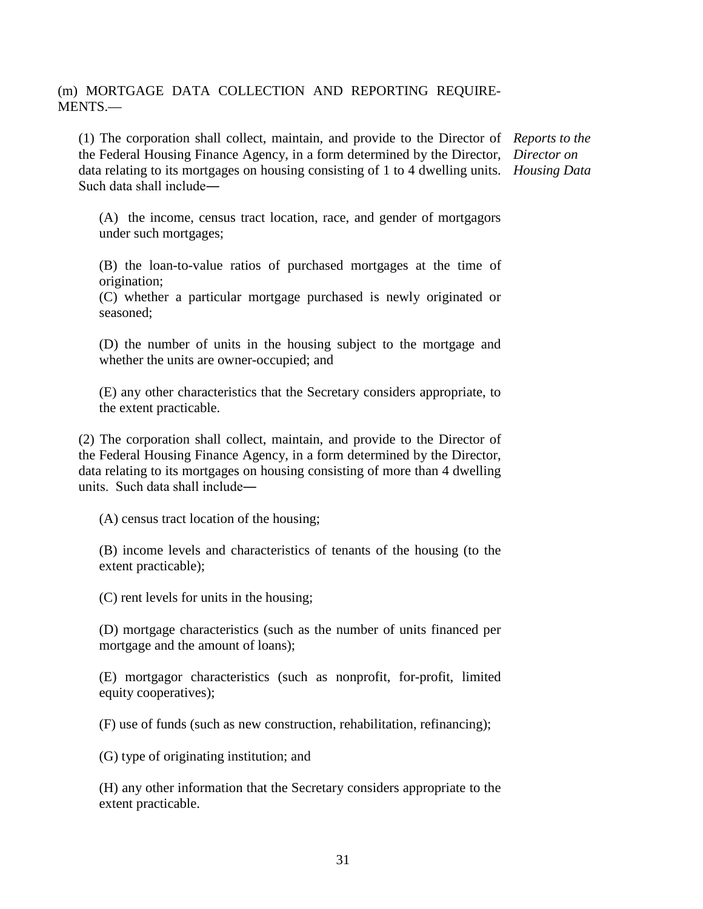# (m) MORTGAGE DATA COLLECTION AND REPORTING REQUIRE-MENTS.—

(1) The corporation shall collect, maintain, and provide to the Director of *Reports to the*  the Federal Housing Finance Agency, in a form determined by the Director, *Director on*  data relating to its mortgages on housing consisting of 1 to 4 dwelling units. *Housing Data* Such data shall include―

(A) the income, census tract location, race, and gender of mortgagors under such mortgages;

(B) the loan-to-value ratios of purchased mortgages at the time of origination;

(C) whether a particular mortgage purchased is newly originated or seasoned;

(D) the number of units in the housing subject to the mortgage and whether the units are owner-occupied; and

(E) any other characteristics that the Secretary considers appropriate, to the extent practicable.

(2) The corporation shall collect, maintain, and provide to the Director of the Federal Housing Finance Agency, in a form determined by the Director, data relating to its mortgages on housing consisting of more than 4 dwelling units. Such data shall include―

(A) census tract location of the housing;

(B) income levels and characteristics of tenants of the housing (to the extent practicable);

(C) rent levels for units in the housing;

(D) mortgage characteristics (such as the number of units financed per mortgage and the amount of loans);

(E) mortgagor characteristics (such as nonprofit, for-profit, limited equity cooperatives);

(F) use of funds (such as new construction, rehabilitation, refinancing);

(G) type of originating institution; and

(H) any other information that the Secretary considers appropriate to the extent practicable.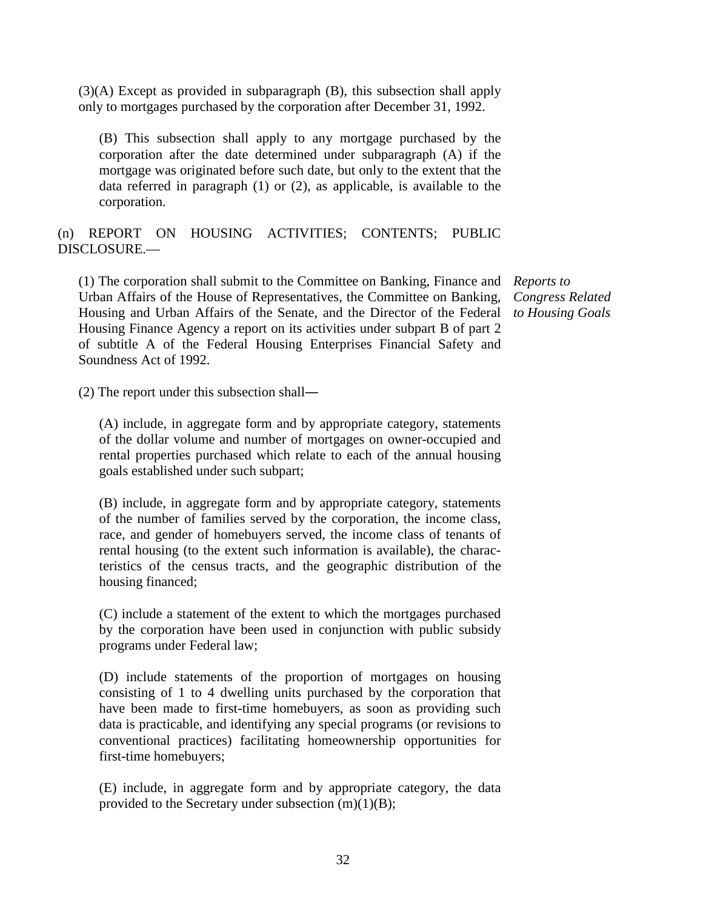(3)(A) Except as provided in subparagraph (B), this subsection shall apply only to mortgages purchased by the corporation after December 31, 1992.

(B) This subsection shall apply to any mortgage purchased by the corporation after the date determined under subparagraph (A) if the mortgage was originated before such date, but only to the extent that the data referred in paragraph (1) or (2), as applicable, is available to the corporation.

(n) REPORT ON HOUSING ACTIVITIES; CONTENTS; PUBLIC DISCLOSURE.—

(1) The corporation shall submit to the Committee on Banking, Finance and *Reports to*  Urban Affairs of the House of Representatives, the Committee on Banking, Housing and Urban Affairs of the Senate, and the Director of the Federal Housing Finance Agency a report on its activities under subpart B of part 2 of subtitle A of the Federal Housing Enterprises Financial Safety and Soundness Act of 1992.

*Congress Related to Housing Goals*

(2) The report under this subsection shall―

(A) include, in aggregate form and by appropriate category, statements of the dollar volume and number of mortgages on owner-occupied and rental properties purchased which relate to each of the annual housing goals established under such subpart;

(B) include, in aggregate form and by appropriate category, statements of the number of families served by the corporation, the income class, race, and gender of homebuyers served, the income class of tenants of rental housing (to the extent such information is available), the characteristics of the census tracts, and the geographic distribution of the housing financed;

(C) include a statement of the extent to which the mortgages purchased by the corporation have been used in conjunction with public subsidy programs under Federal law;

(D) include statements of the proportion of mortgages on housing consisting of 1 to 4 dwelling units purchased by the corporation that have been made to first-time homebuyers, as soon as providing such data is practicable, and identifying any special programs (or revisions to conventional practices) facilitating homeownership opportunities for first-time homebuyers;

(E) include, in aggregate form and by appropriate category, the data provided to the Secretary under subsection  $(m)(1)(B)$ ;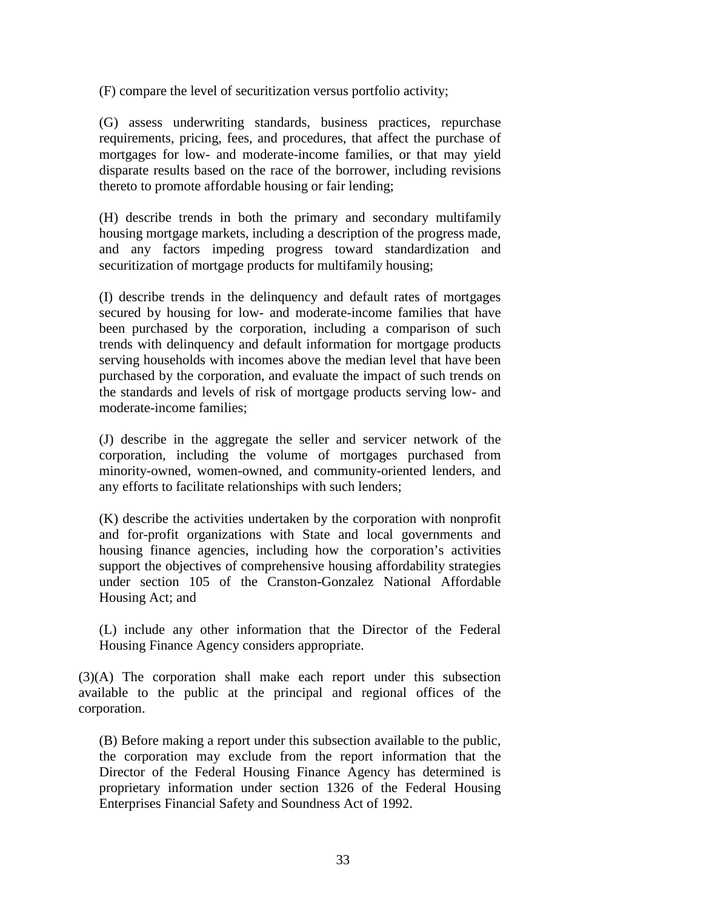(F) compare the level of securitization versus portfolio activity;

(G) assess underwriting standards, business practices, repurchase requirements, pricing, fees, and procedures, that affect the purchase of mortgages for low- and moderate-income families, or that may yield disparate results based on the race of the borrower, including revisions thereto to promote affordable housing or fair lending;

(H) describe trends in both the primary and secondary multifamily housing mortgage markets, including a description of the progress made, and any factors impeding progress toward standardization and securitization of mortgage products for multifamily housing;

(I) describe trends in the delinquency and default rates of mortgages secured by housing for low- and moderate-income families that have been purchased by the corporation, including a comparison of such trends with delinquency and default information for mortgage products serving households with incomes above the median level that have been purchased by the corporation, and evaluate the impact of such trends on the standards and levels of risk of mortgage products serving low- and moderate-income families;

(J) describe in the aggregate the seller and servicer network of the corporation, including the volume of mortgages purchased from minority-owned, women-owned, and community-oriented lenders, and any efforts to facilitate relationships with such lenders;

(K) describe the activities undertaken by the corporation with nonprofit and for-profit organizations with State and local governments and housing finance agencies, including how the corporation's activities support the objectives of comprehensive housing affordability strategies under section 105 of the Cranston-Gonzalez National Affordable Housing Act; and

(L) include any other information that the Director of the Federal Housing Finance Agency considers appropriate.

(3)(A) The corporation shall make each report under this subsection available to the public at the principal and regional offices of the corporation.

(B) Before making a report under this subsection available to the public, the corporation may exclude from the report information that the Director of the Federal Housing Finance Agency has determined is proprietary information under section 1326 of the Federal Housing Enterprises Financial Safety and Soundness Act of 1992.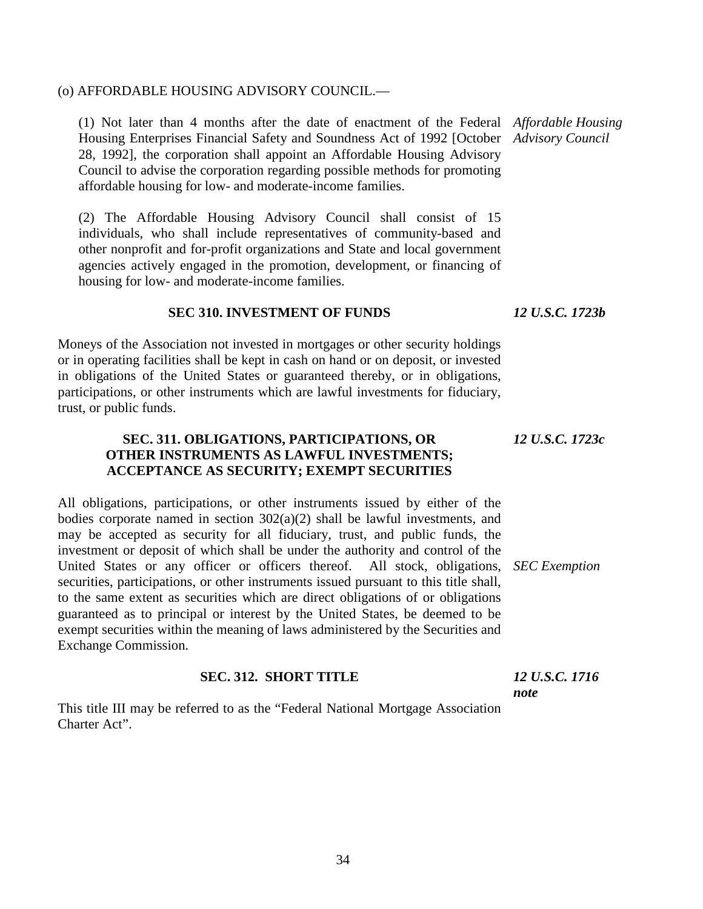### (o) AFFORDABLE HOUSING ADVISORY COUNCIL.—

(1) Not later than 4 months after the date of enactment of the Federal *Affordable Housing*  Housing Enterprises Financial Safety and Soundness Act of 1992 [October *Advisory Council* 28, 1992], the corporation shall appoint an Affordable Housing Advisory Council to advise the corporation regarding possible methods for promoting affordable housing for low- and moderate-income families.

(2) The Affordable Housing Advisory Council shall consist of 15 individuals, who shall include representatives of community-based and other nonprofit and for-profit organizations and State and local government agencies actively engaged in the promotion, development, or financing of housing for low- and moderate-income families.

### **SEC 310. INVESTMENT OF FUNDS**

Moneys of the Association not invested in mortgages or other security holdings or in operating facilities shall be kept in cash on hand or on deposit, or invested in obligations of the United States or guaranteed thereby, or in obligations, participations, or other instruments which are lawful investments for fiduciary, trust, or public funds.

### **SEC. 311. OBLIGATIONS, PARTICIPATIONS, OR OTHER INSTRUMENTS AS LAWFUL INVESTMENTS; ACCEPTANCE AS SECURITY; EXEMPT SECURITIES**

All obligations, participations, or other instruments issued by either of the bodies corporate named in section  $302(a)(2)$  shall be lawful investments, and may be accepted as security for all fiduciary, trust, and public funds, the investment or deposit of which shall be under the authority and control of the United States or any officer or officers thereof. All stock, obligations, *SEC Exemption* securities, participations, or other instruments issued pursuant to this title shall, to the same extent as securities which are direct obligations of or obligations guaranteed as to principal or interest by the United States, be deemed to be exempt securities within the meaning of laws administered by the Securities and Exchange Commission.

### **SEC. 312. SHORT TITLE**

This title III may be referred to as the "Federal National Mortgage Association Charter Act".

*12 U.S.C. 1723b*

*12 U.S.C. 1723c*

*12 U.S.C. 1716 note*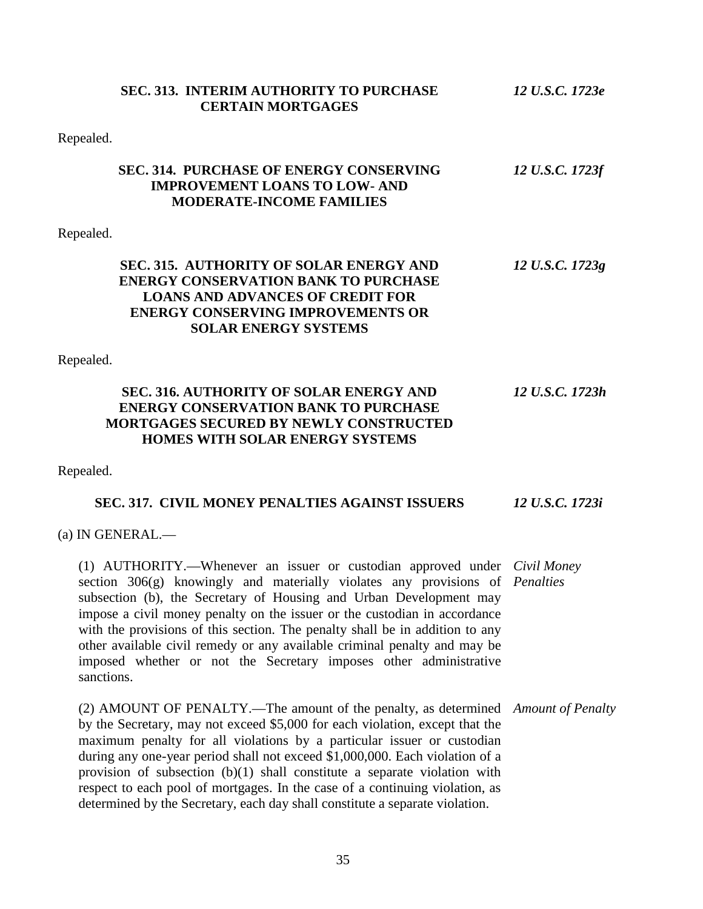| <b>SEC. 313. INTERIM AUTHORITY TO PURCHASE</b><br><b>CERTAIN MORTGAGES</b>                                                                                                                                                                                                                                                                                                                                                                                                                                                                                                 | 12 U.S.C. 1723e |
|----------------------------------------------------------------------------------------------------------------------------------------------------------------------------------------------------------------------------------------------------------------------------------------------------------------------------------------------------------------------------------------------------------------------------------------------------------------------------------------------------------------------------------------------------------------------------|-----------------|
| Repealed.                                                                                                                                                                                                                                                                                                                                                                                                                                                                                                                                                                  |                 |
| <b>SEC. 314. PURCHASE OF ENERGY CONSERVING</b><br><b>IMPROVEMENT LOANS TO LOW- AND</b><br><b>MODERATE-INCOME FAMILIES</b>                                                                                                                                                                                                                                                                                                                                                                                                                                                  | 12 U.S.C. 1723f |
| Repealed.                                                                                                                                                                                                                                                                                                                                                                                                                                                                                                                                                                  |                 |
| SEC. 315. AUTHORITY OF SOLAR ENERGY AND<br><b>ENERGY CONSERVATION BANK TO PURCHASE</b><br><b>LOANS AND ADVANCES OF CREDIT FOR</b><br><b>ENERGY CONSERVING IMPROVEMENTS OR</b><br><b>SOLAR ENERGY SYSTEMS</b>                                                                                                                                                                                                                                                                                                                                                               | 12 U.S.C. 1723g |
| Repealed.                                                                                                                                                                                                                                                                                                                                                                                                                                                                                                                                                                  |                 |
| <b>SEC. 316. AUTHORITY OF SOLAR ENERGY AND</b><br><b>ENERGY CONSERVATION BANK TO PURCHASE</b><br><b>MORTGAGES SECURED BY NEWLY CONSTRUCTED</b><br><b>HOMES WITH SOLAR ENERGY SYSTEMS</b>                                                                                                                                                                                                                                                                                                                                                                                   | 12 U.S.C. 1723h |
| Repealed.                                                                                                                                                                                                                                                                                                                                                                                                                                                                                                                                                                  |                 |
| <b>SEC. 317. CIVIL MONEY PENALTIES AGAINST ISSUERS</b>                                                                                                                                                                                                                                                                                                                                                                                                                                                                                                                     | 12 U.S.C. 1723i |
| (a) IN GENERAL.—                                                                                                                                                                                                                                                                                                                                                                                                                                                                                                                                                           |                 |
| (1) AUTHORITY.—Whenever an issuer or custodian approved under <i>Civil Money</i><br>section 306(g) knowingly and materially violates any provisions of <i>Penalties</i><br>subsection (b), the Secretary of Housing and Urban Development may<br>impose a civil money penalty on the issuer or the custodian in accordance<br>with the provisions of this section. The penalty shall be in addition to any<br>other available civil remedy or any available criminal penalty and may be<br>imposed whether or not the Secretary imposes other administrative<br>sanctions. |                 |
| (2) AMOUNT OF PENALTY.—The amount of the penalty, as determined Amount of Penalty<br>by the Secretary, may not exceed \$5,000 for each violation, except that the<br>maximum penalty for all violations by a particular issuer or custodian<br>during any one-year period shall not exceed \$1,000,000. Each violation of a<br>provision of subsection $(b)(1)$ shall constitute a separate violation with<br>respect to each pool of mortgages. In the case of a continuing violation, as<br>determined by the Secretary, each day shall constitute a separate violation. |                 |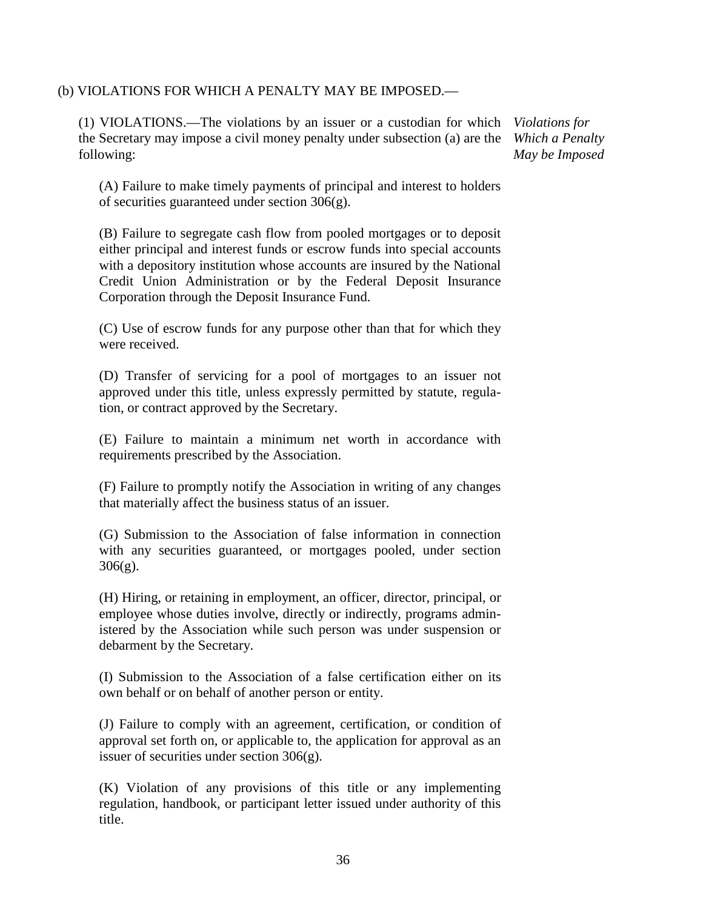## (b) VIOLATIONS FOR WHICH A PENALTY MAY BE IMPOSED.—

(1) VIOLATIONS.—The violations by an issuer or a custodian for which *Violations for*  the Secretary may impose a civil money penalty under subsection (a) are the following:

*Which a Penalty May be Imposed*

(A) Failure to make timely payments of principal and interest to holders of securities guaranteed under section 306(g).

(B) Failure to segregate cash flow from pooled mortgages or to deposit either principal and interest funds or escrow funds into special accounts with a depository institution whose accounts are insured by the National Credit Union Administration or by the Federal Deposit Insurance Corporation through the Deposit Insurance Fund.

(C) Use of escrow funds for any purpose other than that for which they were received.

(D) Transfer of servicing for a pool of mortgages to an issuer not approved under this title, unless expressly permitted by statute, regulation, or contract approved by the Secretary.

(E) Failure to maintain a minimum net worth in accordance with requirements prescribed by the Association.

(F) Failure to promptly notify the Association in writing of any changes that materially affect the business status of an issuer.

(G) Submission to the Association of false information in connection with any securities guaranteed, or mortgages pooled, under section 306(g).

(H) Hiring, or retaining in employment, an officer, director, principal, or employee whose duties involve, directly or indirectly, programs administered by the Association while such person was under suspension or debarment by the Secretary.

(I) Submission to the Association of a false certification either on its own behalf or on behalf of another person or entity.

(J) Failure to comply with an agreement, certification, or condition of approval set forth on, or applicable to, the application for approval as an issuer of securities under section 306(g).

(K) Violation of any provisions of this title or any implementing regulation, handbook, or participant letter issued under authority of this title.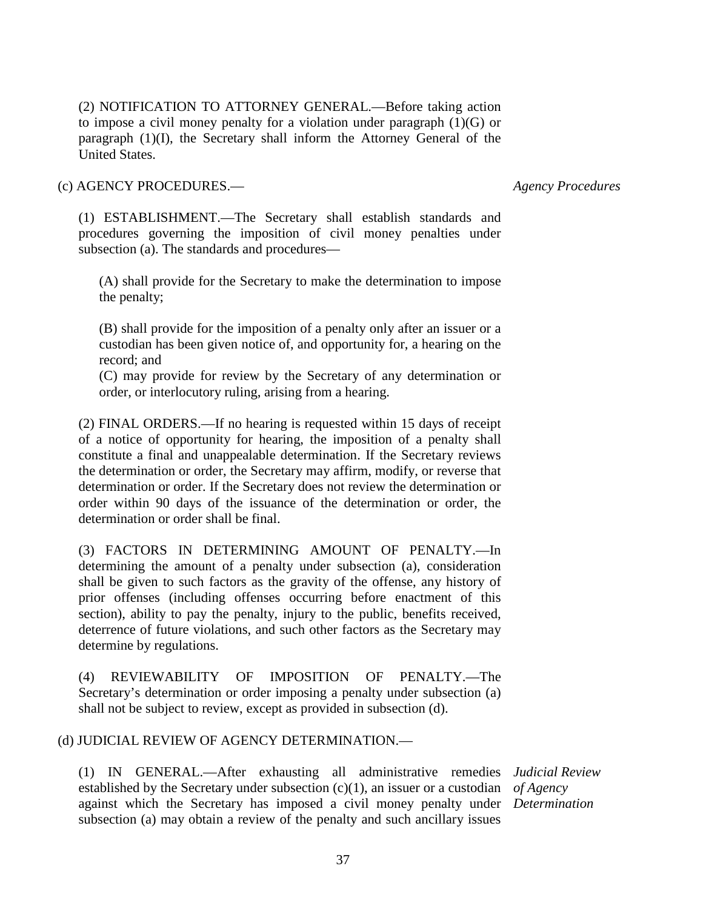(2) NOTIFICATION TO ATTORNEY GENERAL.—Before taking action to impose a civil money penalty for a violation under paragraph (1)(G) or paragraph (1)(I), the Secretary shall inform the Attorney General of the United States.

(c) AGENCY PROCEDURES.—

*Agency Procedures*

(1) ESTABLISHMENT.—The Secretary shall establish standards and procedures governing the imposition of civil money penalties under subsection (a). The standards and procedures—

(A) shall provide for the Secretary to make the determination to impose the penalty;

(B) shall provide for the imposition of a penalty only after an issuer or a custodian has been given notice of, and opportunity for, a hearing on the record; and

(C) may provide for review by the Secretary of any determination or order, or interlocutory ruling, arising from a hearing.

(2) FINAL ORDERS.—If no hearing is requested within 15 days of receipt of a notice of opportunity for hearing, the imposition of a penalty shall constitute a final and unappealable determination. If the Secretary reviews the determination or order, the Secretary may affirm, modify, or reverse that determination or order. If the Secretary does not review the determination or order within 90 days of the issuance of the determination or order, the determination or order shall be final.

(3) FACTORS IN DETERMINING AMOUNT OF PENALTY.—In determining the amount of a penalty under subsection (a), consideration shall be given to such factors as the gravity of the offense, any history of prior offenses (including offenses occurring before enactment of this section), ability to pay the penalty, injury to the public, benefits received, deterrence of future violations, and such other factors as the Secretary may determine by regulations.

(4) REVIEWABILITY OF IMPOSITION OF PENALTY.—The Secretary's determination or order imposing a penalty under subsection (a) shall not be subject to review, except as provided in subsection (d).

### (d) JUDICIAL REVIEW OF AGENCY DETERMINATION.—

(1) IN GENERAL.—After exhausting all administrative remedies *Judicial Review* established by the Secretary under subsection (c)(1), an issuer or a custodian *of Agency* against which the Secretary has imposed a civil money penalty under *Determination*subsection (a) may obtain a review of the penalty and such ancillary issues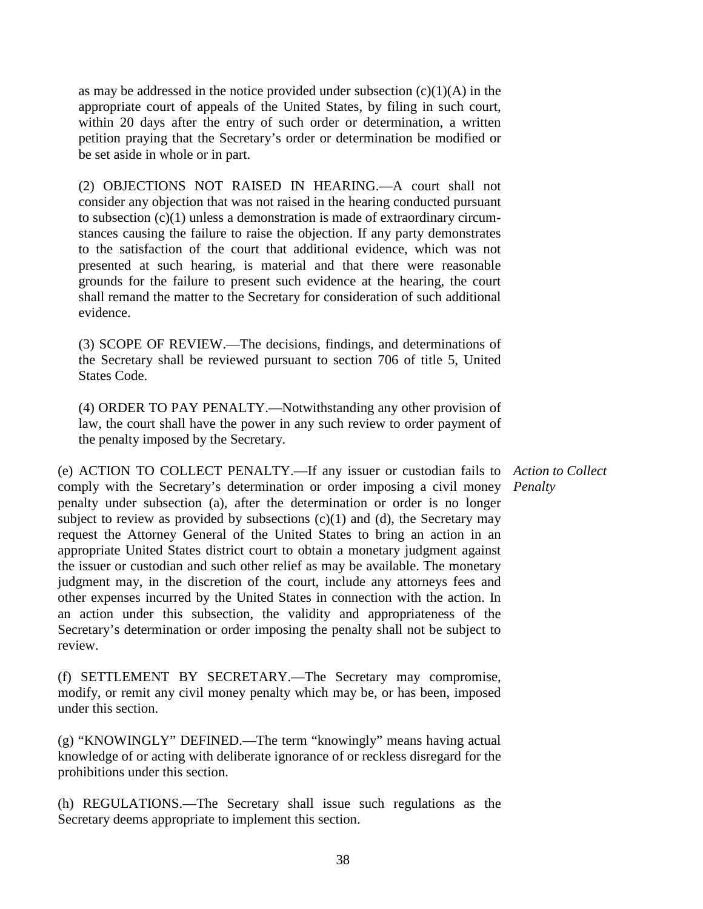as may be addressed in the notice provided under subsection  $(c)(1)(A)$  in the appropriate court of appeals of the United States, by filing in such court, within 20 days after the entry of such order or determination, a written petition praying that the Secretary's order or determination be modified or be set aside in whole or in part.

(2) OBJECTIONS NOT RAISED IN HEARING.—A court shall not consider any objection that was not raised in the hearing conducted pursuant to subsection (c)(1) unless a demonstration is made of extraordinary circumstances causing the failure to raise the objection. If any party demonstrates to the satisfaction of the court that additional evidence, which was not presented at such hearing, is material and that there were reasonable grounds for the failure to present such evidence at the hearing, the court shall remand the matter to the Secretary for consideration of such additional evidence.

(3) SCOPE OF REVIEW.—The decisions, findings, and determinations of the Secretary shall be reviewed pursuant to section 706 of title 5, United States Code.

(4) ORDER TO PAY PENALTY.—Notwithstanding any other provision of law, the court shall have the power in any such review to order payment of the penalty imposed by the Secretary.

(e) ACTION TO COLLECT PENALTY.—If any issuer or custodian fails to *Action to Collect*  comply with the Secretary's determination or order imposing a civil money *Penalty*penalty under subsection (a), after the determination or order is no longer subject to review as provided by subsections  $(c)(1)$  and  $(d)$ , the Secretary may request the Attorney General of the United States to bring an action in an appropriate United States district court to obtain a monetary judgment against the issuer or custodian and such other relief as may be available. The monetary judgment may, in the discretion of the court, include any attorneys fees and other expenses incurred by the United States in connection with the action. In an action under this subsection, the validity and appropriateness of the Secretary's determination or order imposing the penalty shall not be subject to review.

(f) SETTLEMENT BY SECRETARY.—The Secretary may compromise, modify, or remit any civil money penalty which may be, or has been, imposed under this section.

(g) "KNOWINGLY" DEFINED.—The term "knowingly" means having actual knowledge of or acting with deliberate ignorance of or reckless disregard for the prohibitions under this section.

(h) REGULATIONS.—The Secretary shall issue such regulations as the Secretary deems appropriate to implement this section.